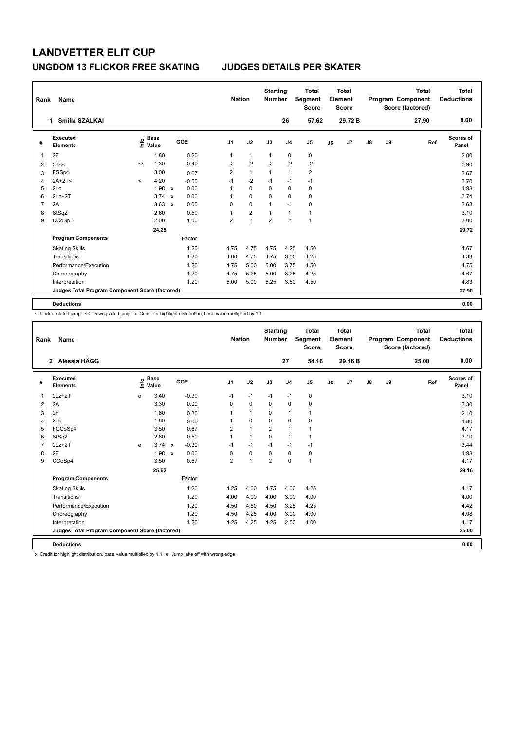| Rank | Name                                            |         |                                  |                           |         |                | <b>Nation</b>           | <b>Starting</b><br><b>Number</b> |                | <b>Total</b><br>Segment<br><b>Score</b> |    | <b>Total</b><br>Element<br><b>Score</b> |    |    | <b>Total</b><br>Program Component<br>Score (factored) | Total<br><b>Deductions</b> |
|------|-------------------------------------------------|---------|----------------------------------|---------------------------|---------|----------------|-------------------------|----------------------------------|----------------|-----------------------------------------|----|-----------------------------------------|----|----|-------------------------------------------------------|----------------------------|
|      | Smilla SZALKAI<br>$\mathbf{1}$                  |         |                                  |                           |         |                |                         |                                  | 26             | 57.62                                   |    | 29.72 B                                 |    |    | 27.90                                                 | 0.00                       |
| #    | Executed<br><b>Elements</b>                     |         | <b>Base</b><br>e Base<br>⊆ Value |                           | GOE     | J <sub>1</sub> | J2                      | J3                               | J <sub>4</sub> | J <sub>5</sub>                          | J6 | J7                                      | J8 | J9 | Ref                                                   | <b>Scores of</b><br>Panel  |
| 1    | 2F                                              |         | 1.80                             |                           | 0.20    | 1              | $\mathbf{1}$            | $\mathbf{1}$                     | 0              | 0                                       |    |                                         |    |    |                                                       | 2.00                       |
| 2    | 3T<<                                            | <<      | 1.30                             |                           | $-0.40$ | $-2$           | $-2$                    | $-2$                             | $-2$           | $-2$                                    |    |                                         |    |    |                                                       | 0.90                       |
| 3    | FSSp4                                           |         | 3.00                             |                           | 0.67    | $\overline{2}$ | $\mathbf{1}$            | $\overline{1}$                   | $\mathbf{1}$   | $\overline{2}$                          |    |                                         |    |    |                                                       | 3.67                       |
| 4    | $2A+2T<$                                        | $\prec$ | 4.20                             |                           | $-0.50$ | $-1$           | $-2$                    | $-1$                             | $-1$           | $-1$                                    |    |                                         |    |    |                                                       | 3.70                       |
| 5    | 2Lo                                             |         | 1.98                             | $\mathsf{x}$              | 0.00    | 1              | $\Omega$                | $\Omega$                         | $\mathbf 0$    | 0                                       |    |                                         |    |    |                                                       | 1.98                       |
| 6    | $2Lz+2T$                                        |         | 3.74                             | $\mathbf{x}$              | 0.00    | 1              | $\mathbf 0$             | 0                                | $\mathbf 0$    | $\pmb{0}$                               |    |                                         |    |    |                                                       | 3.74                       |
| 7    | 2A                                              |         | 3.63                             | $\boldsymbol{\mathsf{x}}$ | 0.00    | 0              | $\mathbf 0$             | 1                                | $-1$           | 0                                       |    |                                         |    |    |                                                       | 3.63                       |
| 8    | StSq2                                           |         | 2.60                             |                           | 0.50    | $\mathbf 1$    | $\overline{\mathbf{c}}$ | 1                                | $\overline{1}$ | $\mathbf{1}$                            |    |                                         |    |    |                                                       | 3.10                       |
| 9    | CCoSp1                                          |         | 2.00                             |                           | 1.00    | $\overline{2}$ | $\overline{2}$          | $\overline{2}$                   | $\overline{2}$ | $\mathbf{1}$                            |    |                                         |    |    |                                                       | 3.00                       |
|      |                                                 |         | 24.25                            |                           |         |                |                         |                                  |                |                                         |    |                                         |    |    |                                                       | 29.72                      |
|      | <b>Program Components</b>                       |         |                                  |                           | Factor  |                |                         |                                  |                |                                         |    |                                         |    |    |                                                       |                            |
|      | <b>Skating Skills</b>                           |         |                                  |                           | 1.20    | 4.75           | 4.75                    | 4.75                             | 4.25           | 4.50                                    |    |                                         |    |    |                                                       | 4.67                       |
|      | Transitions                                     |         |                                  |                           | 1.20    | 4.00           | 4.75                    | 4.75                             | 3.50           | 4.25                                    |    |                                         |    |    |                                                       | 4.33                       |
|      | Performance/Execution                           |         |                                  |                           | 1.20    | 4.75           | 5.00                    | 5.00                             | 3.75           | 4.50                                    |    |                                         |    |    |                                                       | 4.75                       |
|      | Choreography                                    |         |                                  |                           | 1.20    | 4.75           | 5.25                    | 5.00                             | 3.25           | 4.25                                    |    |                                         |    |    |                                                       | 4.67                       |
|      | Interpretation                                  |         |                                  |                           | 1.20    | 5.00           | 5.00                    | 5.25                             | 3.50           | 4.50                                    |    |                                         |    |    |                                                       | 4.83                       |
|      | Judges Total Program Component Score (factored) |         |                                  |                           |         |                |                         |                                  |                |                                         |    |                                         |    |    |                                                       | 27.90                      |
|      | <b>Deductions</b>                               |         |                                  |                           |         |                |                         |                                  |                |                                         |    |                                         |    |    |                                                       | 0.00                       |

< Under-rotated jump << Downgraded jump x Credit for highlight distribution, base value multiplied by 1.1

| Rank           | Name                                            |      |                      |                           |            |                | <b>Nation</b>  | <b>Starting</b><br><b>Number</b> |                | <b>Total</b><br>Segment<br><b>Score</b> |    | <b>Total</b><br>Element<br><b>Score</b> |    |    | <b>Total</b><br>Program Component<br>Score (factored) | <b>Total</b><br><b>Deductions</b> |
|----------------|-------------------------------------------------|------|----------------------|---------------------------|------------|----------------|----------------|----------------------------------|----------------|-----------------------------------------|----|-----------------------------------------|----|----|-------------------------------------------------------|-----------------------------------|
|                | 2 Alessia HÄGG                                  |      |                      |                           |            |                |                |                                  | 27             | 54.16                                   |    | 29.16B                                  |    |    | 25.00                                                 | 0.00                              |
| #              | Executed<br><b>Elements</b>                     | ١nf٥ | <b>Base</b><br>Value |                           | <b>GOE</b> | J <sub>1</sub> | J2             | J3                               | J <sub>4</sub> | J <sub>5</sub>                          | J6 | J7                                      | J8 | J9 | Ref                                                   | <b>Scores of</b><br>Panel         |
| 1              | $2Lz+2T$                                        | e    | 3.40                 |                           | $-0.30$    | $-1$           | $-1$           | $-1$                             | $-1$           | 0                                       |    |                                         |    |    |                                                       | 3.10                              |
| $\overline{2}$ | 2A                                              |      | 3.30                 |                           | 0.00       | $\Omega$       | $\mathbf 0$    | $\mathbf 0$                      | $\mathbf 0$    | 0                                       |    |                                         |    |    |                                                       | 3.30                              |
| 3              | 2F                                              |      | 1.80                 |                           | 0.30       |                | $\mathbf{1}$   | $\Omega$                         | $\mathbf{1}$   | $\mathbf{1}$                            |    |                                         |    |    |                                                       | 2.10                              |
| 4              | 2Lo                                             |      | 1.80                 |                           | 0.00       |                | $\mathbf 0$    | $\Omega$                         | $\mathbf 0$    | 0                                       |    |                                         |    |    |                                                       | 1.80                              |
| 5              | FCCoSp4                                         |      | 3.50                 |                           | 0.67       | $\overline{2}$ | $\mathbf{1}$   | $\overline{2}$                   | $\mathbf{1}$   | 1                                       |    |                                         |    |    |                                                       | 4.17                              |
| 6              | StSq2                                           |      | 2.60                 |                           | 0.50       | $\mathbf 1$    | $\mathbf{1}$   | $\mathbf 0$                      | $\mathbf{1}$   | $\mathbf{1}$                            |    |                                         |    |    |                                                       | 3.10                              |
| $\overline{7}$ | $2Lz + 2T$                                      | e    | $3.74 \times$        |                           | $-0.30$    | $-1$           | $-1$           | $-1$                             | $-1$           | $-1$                                    |    |                                         |    |    |                                                       | 3.44                              |
| 8              | 2F                                              |      | 1.98                 | $\boldsymbol{\mathsf{x}}$ | 0.00       | 0              | $\mathbf 0$    | $\mathbf 0$                      | $\mathbf 0$    | 0                                       |    |                                         |    |    |                                                       | 1.98                              |
| 9              | CCoSp4                                          |      | 3.50                 |                           | 0.67       | $\overline{2}$ | $\overline{1}$ | $\overline{2}$                   | $\mathbf 0$    | $\mathbf{1}$                            |    |                                         |    |    |                                                       | 4.17                              |
|                |                                                 |      | 25.62                |                           |            |                |                |                                  |                |                                         |    |                                         |    |    |                                                       | 29.16                             |
|                | <b>Program Components</b>                       |      |                      |                           | Factor     |                |                |                                  |                |                                         |    |                                         |    |    |                                                       |                                   |
|                | <b>Skating Skills</b>                           |      |                      |                           | 1.20       | 4.25           | 4.00           | 4.75                             | 4.00           | 4.25                                    |    |                                         |    |    |                                                       | 4.17                              |
|                | Transitions                                     |      |                      |                           | 1.20       | 4.00           | 4.00           | 4.00                             | 3.00           | 4.00                                    |    |                                         |    |    |                                                       | 4.00                              |
|                | Performance/Execution                           |      |                      |                           | 1.20       | 4.50           | 4.50           | 4.50                             | 3.25           | 4.25                                    |    |                                         |    |    |                                                       | 4.42                              |
|                | Choreography                                    |      |                      |                           | 1.20       | 4.50           | 4.25           | 4.00                             | 3.00           | 4.00                                    |    |                                         |    |    |                                                       | 4.08                              |
|                | Interpretation                                  |      |                      |                           | 1.20       | 4.25           | 4.25           | 4.25                             | 2.50           | 4.00                                    |    |                                         |    |    |                                                       | 4.17                              |
|                | Judges Total Program Component Score (factored) |      |                      |                           |            |                |                |                                  |                |                                         |    |                                         |    |    |                                                       | 25.00                             |
|                | <b>Deductions</b>                               |      |                      |                           |            |                |                |                                  |                |                                         |    |                                         |    |    |                                                       | 0.00                              |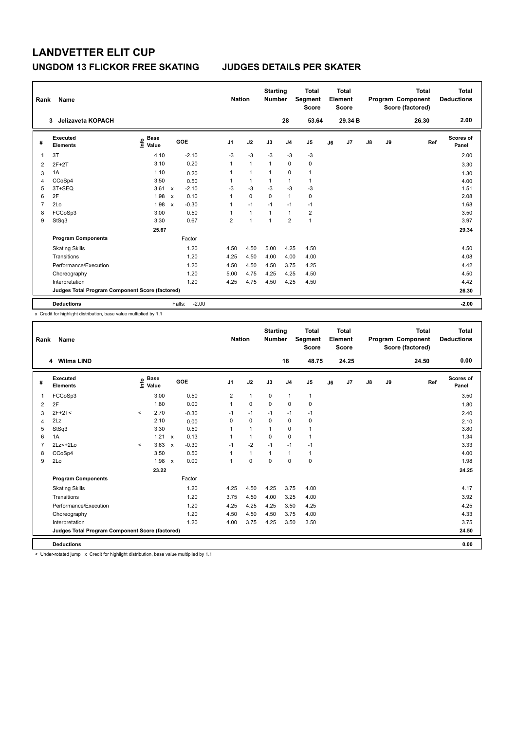| Rank           | Name                                            |                           |                           |         | <b>Nation</b>  |                | <b>Starting</b><br><b>Number</b> |                | <b>Total</b><br>Segment<br><b>Score</b> |    | <b>Total</b><br>Element<br><b>Score</b> |               |    | <b>Total</b><br>Program Component<br>Score (factored) | <b>Total</b><br><b>Deductions</b> |
|----------------|-------------------------------------------------|---------------------------|---------------------------|---------|----------------|----------------|----------------------------------|----------------|-----------------------------------------|----|-----------------------------------------|---------------|----|-------------------------------------------------------|-----------------------------------|
|                | Jelizaveta KOPACH<br>3                          |                           |                           |         |                |                |                                  | 28             | 53.64                                   |    | 29.34 B                                 |               |    | 26.30                                                 | 2.00                              |
| #              | Executed<br><b>Elements</b>                     | Base<br>e Base<br>⊆ Value |                           | GOE     | J <sub>1</sub> | J2             | J3                               | J <sub>4</sub> | J <sub>5</sub>                          | J6 | J <sub>7</sub>                          | $\mathsf{J}8$ | J9 | Ref                                                   | Scores of<br>Panel                |
| 1              | 3T                                              | 4.10                      |                           | $-2.10$ | $-3$           | $-3$           | $-3$                             | $-3$           | $-3$                                    |    |                                         |               |    |                                                       | 2.00                              |
| $\overline{2}$ | $2F+2T$                                         | 3.10                      |                           | 0.20    | 1              | $\mathbf{1}$   | $\mathbf{1}$                     | 0              | 0                                       |    |                                         |               |    |                                                       | 3.30                              |
| 3              | 1A                                              | 1.10                      |                           | 0.20    | 1              | $\mathbf{1}$   | 1                                | $\pmb{0}$      | $\mathbf{1}$                            |    |                                         |               |    |                                                       | 1.30                              |
| 4              | CCoSp4                                          | 3.50                      |                           | 0.50    | 1              | $\mathbf{1}$   | 1                                | $\overline{1}$ | 1                                       |    |                                         |               |    |                                                       | 4.00                              |
| 5              | 3T+SEQ                                          | 3.61                      | $\mathsf{x}$              | $-2.10$ | $-3$           | $-3$           | $-3$                             | $-3$           | $-3$                                    |    |                                         |               |    |                                                       | 1.51                              |
| 6              | 2F                                              | 1.98                      | $\boldsymbol{\mathsf{x}}$ | 0.10    | 1              | $\mathbf 0$    | $\mathbf 0$                      | $\mathbf{1}$   | $\pmb{0}$                               |    |                                         |               |    |                                                       | 2.08                              |
| 7              | 2Lo                                             | 1.98                      | $\boldsymbol{\mathsf{x}}$ | $-0.30$ | 1              | $-1$           | $-1$                             | $-1$           | $-1$                                    |    |                                         |               |    |                                                       | 1.68                              |
| 8              | FCCoSp3                                         | 3.00                      |                           | 0.50    | 1              | $\mathbf{1}$   | 1                                | $\mathbf{1}$   | $\overline{2}$                          |    |                                         |               |    |                                                       | 3.50                              |
| 9              | StSq3                                           | 3.30                      |                           | 0.67    | $\overline{2}$ | $\overline{1}$ | 1                                | $\overline{2}$ | $\mathbf{1}$                            |    |                                         |               |    |                                                       | 3.97                              |
|                |                                                 | 25.67                     |                           |         |                |                |                                  |                |                                         |    |                                         |               |    |                                                       | 29.34                             |
|                | <b>Program Components</b>                       |                           |                           | Factor  |                |                |                                  |                |                                         |    |                                         |               |    |                                                       |                                   |
|                | <b>Skating Skills</b>                           |                           |                           | 1.20    | 4.50           | 4.50           | 5.00                             | 4.25           | 4.50                                    |    |                                         |               |    |                                                       | 4.50                              |
|                | Transitions                                     |                           |                           | 1.20    | 4.25           | 4.50           | 4.00                             | 4.00           | 4.00                                    |    |                                         |               |    |                                                       | 4.08                              |
|                | Performance/Execution                           |                           |                           | 1.20    | 4.50           | 4.50           | 4.50                             | 3.75           | 4.25                                    |    |                                         |               |    |                                                       | 4.42                              |
|                | Choreography                                    |                           |                           | 1.20    | 5.00           | 4.75           | 4.25                             | 4.25           | 4.50                                    |    |                                         |               |    |                                                       | 4.50                              |
|                | Interpretation                                  |                           |                           | 1.20    | 4.25           | 4.75           | 4.50                             | 4.25           | 4.50                                    |    |                                         |               |    |                                                       | 4.42                              |
|                | Judges Total Program Component Score (factored) |                           |                           |         |                |                |                                  |                |                                         |    |                                         |               |    |                                                       | 26.30                             |
|                | <b>Deductions</b>                               |                           | Falls:                    | $-2.00$ |                |                |                                  |                |                                         |    |                                         |               |    |                                                       | $-2.00$                           |

x Credit for highlight distribution, base value multiplied by 1.1

| Rank           | Name                                            |         |                                  |                           |         | <b>Nation</b>  |              | <b>Starting</b><br><b>Number</b> |                | <b>Total</b><br>Segment<br><b>Score</b> |    | <b>Total</b><br>Element<br><b>Score</b> |    |    | <b>Total</b><br>Program Component<br>Score (factored) | Total<br><b>Deductions</b> |
|----------------|-------------------------------------------------|---------|----------------------------------|---------------------------|---------|----------------|--------------|----------------------------------|----------------|-----------------------------------------|----|-----------------------------------------|----|----|-------------------------------------------------------|----------------------------|
|                | 4 Wilma LIND                                    |         |                                  |                           |         |                |              |                                  | 18             | 48.75                                   |    | 24.25                                   |    |    | 24.50                                                 | 0.00                       |
| #              | Executed<br><b>Elements</b>                     |         | <b>Base</b><br>e Base<br>E Value |                           | GOE     | J <sub>1</sub> | J2           | J3                               | J <sub>4</sub> | J5                                      | J6 | J7                                      | J8 | J9 | Ref                                                   | Scores of<br>Panel         |
| $\mathbf{1}$   | FCCoSp3                                         |         | 3.00                             |                           | 0.50    | $\overline{2}$ | $\mathbf{1}$ | $\mathbf 0$                      | $\mathbf{1}$   | $\mathbf{1}$                            |    |                                         |    |    |                                                       | 3.50                       |
| 2              | 2F                                              |         | 1.80                             |                           | 0.00    | 1              | $\mathbf 0$  | $\mathbf 0$                      | $\mathbf 0$    | 0                                       |    |                                         |    |    |                                                       | 1.80                       |
| 3              | $2F+2T<$                                        | $\prec$ | 2.70                             |                           | $-0.30$ | $-1$           | $-1$         | $-1$                             | $-1$           | $-1$                                    |    |                                         |    |    |                                                       | 2.40                       |
| $\overline{4}$ | 2Lz                                             |         | 2.10                             |                           | 0.00    | $\Omega$       | $\Omega$     | $\Omega$                         | $\Omega$       | 0                                       |    |                                         |    |    |                                                       | 2.10                       |
| 5              | StSq3                                           |         | 3.30                             |                           | 0.50    | 1              | $\mathbf{1}$ | 1                                | $\mathbf 0$    | 1                                       |    |                                         |    |    |                                                       | 3.80                       |
| 6              | 1A                                              |         | 1.21                             | $\mathsf{x}$              | 0.13    | $\overline{1}$ | $\mathbf{1}$ | $\Omega$                         | $\mathbf 0$    | $\mathbf{1}$                            |    |                                         |    |    |                                                       | 1.34                       |
| $\overline{7}$ | $2Lz<+2Lo$                                      | $\prec$ | 3.63                             | $\mathsf{x}$              | $-0.30$ | $-1$           | $-2$         | $-1$                             | $-1$           | $-1$                                    |    |                                         |    |    |                                                       | 3.33                       |
| 8              | CCoSp4                                          |         | 3.50                             |                           | 0.50    |                | $\mathbf{1}$ | $\mathbf{1}$                     | $\mathbf{1}$   | $\mathbf{1}$                            |    |                                         |    |    |                                                       | 4.00                       |
| 9              | 2Lo                                             |         | 1.98                             | $\boldsymbol{\mathsf{x}}$ | 0.00    | $\overline{1}$ | $\mathbf 0$  | $\mathbf 0$                      | $\mathbf 0$    | 0                                       |    |                                         |    |    |                                                       | 1.98                       |
|                |                                                 |         | 23.22                            |                           |         |                |              |                                  |                |                                         |    |                                         |    |    |                                                       | 24.25                      |
|                | <b>Program Components</b>                       |         |                                  |                           | Factor  |                |              |                                  |                |                                         |    |                                         |    |    |                                                       |                            |
|                | <b>Skating Skills</b>                           |         |                                  |                           | 1.20    | 4.25           | 4.50         | 4.25                             | 3.75           | 4.00                                    |    |                                         |    |    |                                                       | 4.17                       |
|                | Transitions                                     |         |                                  |                           | 1.20    | 3.75           | 4.50         | 4.00                             | 3.25           | 4.00                                    |    |                                         |    |    |                                                       | 3.92                       |
|                | Performance/Execution                           |         |                                  |                           | 1.20    | 4.25           | 4.25         | 4.25                             | 3.50           | 4.25                                    |    |                                         |    |    |                                                       | 4.25                       |
|                | Choreography                                    |         |                                  |                           | 1.20    | 4.50           | 4.50         | 4.50                             | 3.75           | 4.00                                    |    |                                         |    |    |                                                       | 4.33                       |
|                | Interpretation                                  |         |                                  |                           | 1.20    | 4.00           | 3.75         | 4.25                             | 3.50           | 3.50                                    |    |                                         |    |    |                                                       | 3.75                       |
|                | Judges Total Program Component Score (factored) |         |                                  |                           |         |                |              |                                  |                |                                         |    |                                         |    |    |                                                       | 24.50                      |
|                | <b>Deductions</b>                               |         |                                  |                           |         |                |              |                                  |                |                                         |    |                                         |    |    |                                                       | 0.00                       |

< Under-rotated jump x Credit for highlight distribution, base value multiplied by 1.1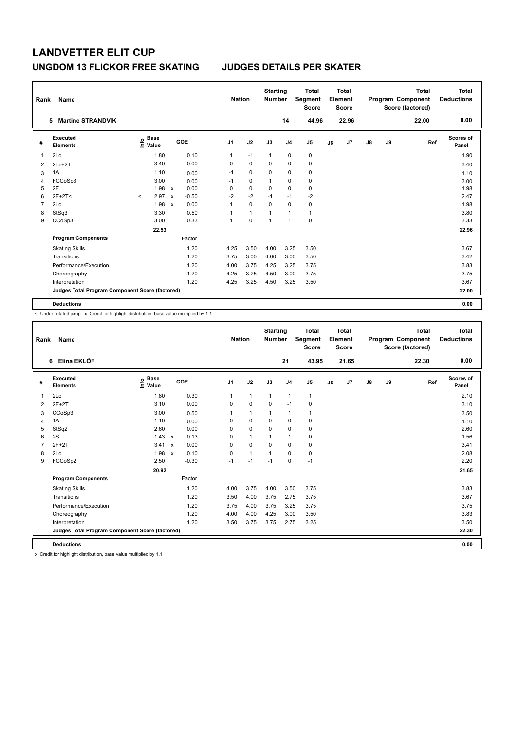| Rank           | Name                                            |                                  |              |         |                | <b>Nation</b> | <b>Starting</b><br><b>Number</b> |                | <b>Total</b><br>Segment<br><b>Score</b> |    | <b>Total</b><br>Element<br><b>Score</b> |    |    | <b>Total</b><br>Program Component<br>Score (factored) | <b>Total</b><br><b>Deductions</b> |
|----------------|-------------------------------------------------|----------------------------------|--------------|---------|----------------|---------------|----------------------------------|----------------|-----------------------------------------|----|-----------------------------------------|----|----|-------------------------------------------------------|-----------------------------------|
|                | <b>Martine STRANDVIK</b><br>5                   |                                  |              |         |                |               |                                  | 14             | 44.96                                   |    | 22.96                                   |    |    | 22.00                                                 | 0.00                              |
| #              | <b>Executed</b><br><b>Elements</b>              | <b>Base</b><br>e Base<br>⊆ Value | GOE          |         | J <sub>1</sub> | J2            | J3                               | J <sub>4</sub> | J <sub>5</sub>                          | J6 | J7                                      | J8 | J9 | Ref                                                   | <b>Scores of</b><br>Panel         |
| 1              | 2Lo                                             | 1.80                             |              | 0.10    | 1              | $-1$          | $\mathbf{1}$                     | $\mathbf 0$    | 0                                       |    |                                         |    |    |                                                       | 1.90                              |
| $\overline{2}$ | $2Lz+2T$                                        | 3.40                             |              | 0.00    | 0              | $\mathbf 0$   | 0                                | 0              | 0                                       |    |                                         |    |    |                                                       | 3.40                              |
| 3              | 1A                                              | 1.10                             |              | 0.00    | $-1$           | 0             | 0                                | 0              | $\pmb{0}$                               |    |                                         |    |    |                                                       | 1.10                              |
| 4              | FCCoSp3                                         | 3.00                             |              | 0.00    | $-1$           | 0             | $\mathbf{1}$                     | 0              | 0                                       |    |                                         |    |    |                                                       | 3.00                              |
| 5              | 2F                                              | 1.98                             | $\mathsf{x}$ | 0.00    | 0              | 0             | $\Omega$                         | 0              | 0                                       |    |                                         |    |    |                                                       | 1.98                              |
| 6              | $2F+2T<$                                        | 2.97<br>$\prec$                  | $\mathsf{x}$ | $-0.50$ | $-2$           | $-2$          | $-1$                             | $-1$           | $-2$                                    |    |                                         |    |    |                                                       | 2.47                              |
| 7              | 2Lo                                             | 1.98                             | $\mathsf{x}$ | 0.00    | 1              | 0             | 0                                | 0              | 0                                       |    |                                         |    |    |                                                       | 1.98                              |
| 8              | StSq3                                           | 3.30                             |              | 0.50    | 1              | $\mathbf{1}$  | 1                                | 1              | $\mathbf{1}$                            |    |                                         |    |    |                                                       | 3.80                              |
| 9              | CCoSp3                                          | 3.00                             |              | 0.33    | 1              | 0             | $\mathbf{1}$                     | $\overline{1}$ | 0                                       |    |                                         |    |    |                                                       | 3.33                              |
|                |                                                 | 22.53                            |              |         |                |               |                                  |                |                                         |    |                                         |    |    |                                                       | 22.96                             |
|                | <b>Program Components</b>                       |                                  |              | Factor  |                |               |                                  |                |                                         |    |                                         |    |    |                                                       |                                   |
|                | <b>Skating Skills</b>                           |                                  |              | 1.20    | 4.25           | 3.50          | 4.00                             | 3.25           | 3.50                                    |    |                                         |    |    |                                                       | 3.67                              |
|                | Transitions                                     |                                  |              | 1.20    | 3.75           | 3.00          | 4.00                             | 3.00           | 3.50                                    |    |                                         |    |    |                                                       | 3.42                              |
|                | Performance/Execution                           |                                  |              | 1.20    | 4.00           | 3.75          | 4.25                             | 3.25           | 3.75                                    |    |                                         |    |    |                                                       | 3.83                              |
|                | Choreography                                    |                                  |              | 1.20    | 4.25           | 3.25          | 4.50                             | 3.00           | 3.75                                    |    |                                         |    |    |                                                       | 3.75                              |
|                | Interpretation                                  |                                  |              | 1.20    | 4.25           | 3.25          | 4.50                             | 3.25           | 3.50                                    |    |                                         |    |    |                                                       | 3.67                              |
|                | Judges Total Program Component Score (factored) |                                  |              |         |                |               |                                  |                |                                         |    |                                         |    |    |                                                       | 22.00                             |
|                | <b>Deductions</b>                               |                                  |              |         |                |               |                                  |                |                                         |    |                                         |    |    |                                                       | 0.00                              |

-<br>< Under-rotated jump x Credit for highlight distribution, base value multiplied by 1.1

| Rank           | <b>Name</b>                                     |                                    |                           |         | <b>Nation</b>  |              | <b>Starting</b><br><b>Number</b> |                | <b>Total</b><br>Segment<br><b>Score</b> |    | <b>Total</b><br>Element<br><b>Score</b> |               |    | <b>Total</b><br>Program Component<br>Score (factored) | <b>Total</b><br><b>Deductions</b> |
|----------------|-------------------------------------------------|------------------------------------|---------------------------|---------|----------------|--------------|----------------------------------|----------------|-----------------------------------------|----|-----------------------------------------|---------------|----|-------------------------------------------------------|-----------------------------------|
|                | Elina EKLÖF<br>6                                |                                    |                           |         |                |              |                                  | 21             | 43.95                                   |    | 21.65                                   |               |    | 22.30                                                 | 0.00                              |
| #              | Executed<br><b>Elements</b>                     | <b>Base</b><br>$\frac{6}{5}$ Value | GOE                       |         | J <sub>1</sub> | J2           | J3                               | J <sub>4</sub> | J <sub>5</sub>                          | J6 | J7                                      | $\mathsf{J}8$ | J9 | Ref                                                   | <b>Scores of</b><br>Panel         |
| $\overline{1}$ | 2Lo                                             | 1.80                               |                           | 0.30    | $\mathbf{1}$   | $\mathbf{1}$ | $\mathbf{1}$                     | $\mathbf{1}$   | $\mathbf{1}$                            |    |                                         |               |    |                                                       | 2.10                              |
| 2              | $2F+2T$                                         | 3.10                               |                           | 0.00    | $\mathbf 0$    | $\mathbf 0$  | $\mathbf 0$                      | $-1$           | $\mathbf 0$                             |    |                                         |               |    |                                                       | 3.10                              |
| 3              | CCoSp3                                          | 3.00                               |                           | 0.50    |                | $\mathbf{1}$ | $\mathbf{1}$                     | $\mathbf{1}$   | 1                                       |    |                                         |               |    |                                                       | 3.50                              |
| 4              | 1A                                              | 1.10                               |                           | 0.00    | 0              | $\mathbf 0$  | $\mathbf 0$                      | $\mathbf 0$    | $\mathbf 0$                             |    |                                         |               |    |                                                       | 1.10                              |
| 5              | StSq2                                           | 2.60                               |                           | 0.00    | 0              | $\mathbf 0$  | 0                                | 0              | 0                                       |    |                                         |               |    |                                                       | 2.60                              |
| 6              | 2S                                              | 1.43                               | $\mathsf{x}$              | 0.13    | $\Omega$       | $\mathbf{1}$ | $\overline{1}$                   | $\mathbf{1}$   | $\mathbf 0$                             |    |                                         |               |    |                                                       | 1.56                              |
| $\overline{7}$ | $2F+2T$                                         | 3.41                               | $\boldsymbol{\mathsf{x}}$ | 0.00    | 0              | $\mathbf 0$  | $\mathbf 0$                      | $\mathbf 0$    | 0                                       |    |                                         |               |    |                                                       | 3.41                              |
| 8              | 2Lo                                             | 1.98                               | $\boldsymbol{\mathsf{x}}$ | 0.10    | 0              | $\mathbf{1}$ | $\mathbf{1}$                     | $\mathbf 0$    | $\mathbf 0$                             |    |                                         |               |    |                                                       | 2.08                              |
| 9              | FCCoSp2                                         | 2.50                               |                           | $-0.30$ | $-1$           | $-1$         | $-1$                             | $\Omega$       | $-1$                                    |    |                                         |               |    |                                                       | 2.20                              |
|                |                                                 | 20.92                              |                           |         |                |              |                                  |                |                                         |    |                                         |               |    |                                                       | 21.65                             |
|                | <b>Program Components</b>                       |                                    |                           | Factor  |                |              |                                  |                |                                         |    |                                         |               |    |                                                       |                                   |
|                | <b>Skating Skills</b>                           |                                    |                           | 1.20    | 4.00           | 3.75         | 4.00                             | 3.50           | 3.75                                    |    |                                         |               |    |                                                       | 3.83                              |
|                | Transitions                                     |                                    |                           | 1.20    | 3.50           | 4.00         | 3.75                             | 2.75           | 3.75                                    |    |                                         |               |    |                                                       | 3.67                              |
|                | Performance/Execution                           |                                    |                           | 1.20    | 3.75           | 4.00         | 3.75                             | 3.25           | 3.75                                    |    |                                         |               |    |                                                       | 3.75                              |
|                | Choreography                                    |                                    |                           | 1.20    | 4.00           | 4.00         | 4.25                             | 3.00           | 3.50                                    |    |                                         |               |    |                                                       | 3.83                              |
|                | Interpretation                                  |                                    |                           | 1.20    | 3.50           | 3.75         | 3.75                             | 2.75           | 3.25                                    |    |                                         |               |    |                                                       | 3.50                              |
|                | Judges Total Program Component Score (factored) |                                    |                           |         |                |              |                                  |                |                                         |    |                                         |               |    |                                                       | 22.30                             |
|                | <b>Deductions</b>                               |                                    |                           |         |                |              |                                  |                |                                         |    |                                         |               |    |                                                       | 0.00                              |

x Credit for highlight distribution, base value multiplied by 1.1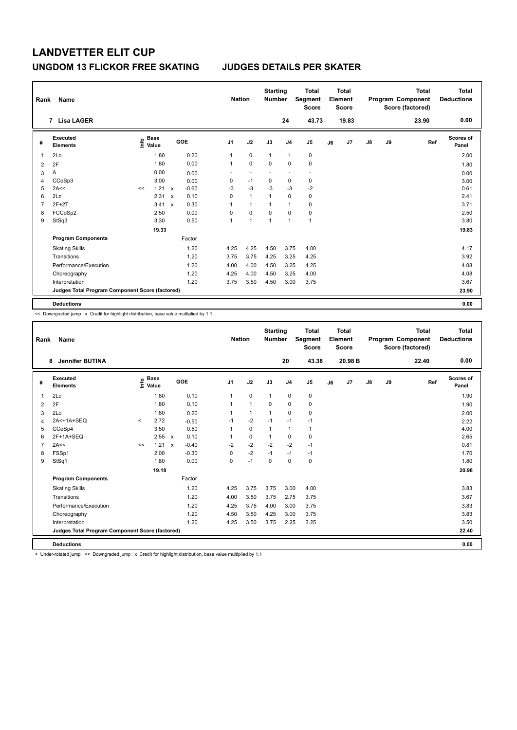| Rank           | Name                                            |    |                                  |       |                           |         | <b>Nation</b>  |                | <b>Starting</b><br><b>Number</b> |                | <b>Total</b><br>Segment<br><b>Score</b> |    | <b>Total</b><br>Element<br><b>Score</b> |               |    | <b>Total</b><br>Program Component<br>Score (factored) | Total<br><b>Deductions</b> |
|----------------|-------------------------------------------------|----|----------------------------------|-------|---------------------------|---------|----------------|----------------|----------------------------------|----------------|-----------------------------------------|----|-----------------------------------------|---------------|----|-------------------------------------------------------|----------------------------|
|                | 7 Lisa LAGER                                    |    |                                  |       |                           |         |                |                |                                  | 24             | 43.73                                   |    | 19.83                                   |               |    | 23.90                                                 | 0.00                       |
| #              | Executed<br><b>Elements</b>                     |    | <b>Base</b><br>e Base<br>⊆ Value |       |                           | GOE     | J <sub>1</sub> | J2             | J3                               | J <sub>4</sub> | J5                                      | J6 | J7                                      | $\mathsf{J}8$ | J9 | Ref                                                   | <b>Scores of</b><br>Panel  |
| 1              | 2Lo                                             |    |                                  | 1.80  |                           | 0.20    | 1              | $\mathbf 0$    | $\mathbf{1}$                     | $\mathbf{1}$   | $\pmb{0}$                               |    |                                         |               |    |                                                       | 2.00                       |
| 2              | 2F                                              |    |                                  | 1.80  |                           | 0.00    | 1              | $\mathbf 0$    | $\mathbf 0$                      | $\mathbf 0$    | $\mathbf 0$                             |    |                                         |               |    |                                                       | 1.80                       |
| 3              | А                                               |    |                                  | 0.00  |                           | 0.00    | ٠              |                |                                  | ٠              | $\overline{a}$                          |    |                                         |               |    |                                                       | 0.00                       |
| 4              | CCoSp3                                          |    |                                  | 3.00  |                           | 0.00    | 0              | $-1$           | $\mathbf 0$                      | $\pmb{0}$      | $\pmb{0}$                               |    |                                         |               |    |                                                       | 3.00                       |
| 5              | 2A<<                                            | << |                                  | 1.21  | $\mathsf{x}$              | $-0.60$ | $-3$           | $-3$           | $-3$                             | $-3$           | $-2$                                    |    |                                         |               |    |                                                       | 0.61                       |
| 6              | 2Lz                                             |    |                                  | 2.31  | $\mathsf{x}$              | 0.10    | 0              | $\mathbf{1}$   | 1                                | $\mathbf 0$    | $\pmb{0}$                               |    |                                         |               |    |                                                       | 2.41                       |
| $\overline{7}$ | $2F+2T$                                         |    |                                  | 3.41  | $\boldsymbol{\mathsf{x}}$ | 0.30    | 1              | $\mathbf{1}$   | $\overline{1}$                   | $\mathbf{1}$   | $\pmb{0}$                               |    |                                         |               |    |                                                       | 3.71                       |
| 8              | FCCoSp2                                         |    |                                  | 2.50  |                           | 0.00    | 0              | $\mathbf 0$    | $\Omega$                         | $\mathbf 0$    | $\pmb{0}$                               |    |                                         |               |    |                                                       | 2.50                       |
| 9              | StSq3                                           |    |                                  | 3.30  |                           | 0.50    | 1              | $\overline{1}$ | $\overline{1}$                   | $\overline{1}$ | $\mathbf{1}$                            |    |                                         |               |    |                                                       | 3.80                       |
|                |                                                 |    |                                  | 19.33 |                           |         |                |                |                                  |                |                                         |    |                                         |               |    |                                                       | 19.83                      |
|                | <b>Program Components</b>                       |    |                                  |       |                           | Factor  |                |                |                                  |                |                                         |    |                                         |               |    |                                                       |                            |
|                | <b>Skating Skills</b>                           |    |                                  |       |                           | 1.20    | 4.25           | 4.25           | 4.50                             | 3.75           | 4.00                                    |    |                                         |               |    |                                                       | 4.17                       |
|                | Transitions                                     |    |                                  |       |                           | 1.20    | 3.75           | 3.75           | 4.25                             | 3.25           | 4.25                                    |    |                                         |               |    |                                                       | 3.92                       |
|                | Performance/Execution                           |    |                                  |       |                           | 1.20    | 4.00           | 4.00           | 4.50                             | 3.25           | 4.25                                    |    |                                         |               |    |                                                       | 4.08                       |
|                | Choreography                                    |    |                                  |       |                           | 1.20    | 4.25           | 4.00           | 4.50                             | 3.25           | 4.00                                    |    |                                         |               |    |                                                       | 4.08                       |
|                | Interpretation                                  |    |                                  |       |                           | 1.20    | 3.75           | 3.50           | 4.50                             | 3.00           | 3.75                                    |    |                                         |               |    |                                                       | 3.67                       |
|                | Judges Total Program Component Score (factored) |    |                                  |       |                           |         |                |                |                                  |                |                                         |    |                                         |               |    |                                                       | 23.90                      |
|                | <b>Deductions</b>                               |    |                                  |       |                           |         |                |                |                                  |                |                                         |    |                                         |               |    |                                                       | 0.00                       |

<< Downgraded jump x Credit for highlight distribution, base value multiplied by 1.1

| Rank           | Name                                            |         |                                  |              |         | <b>Nation</b>  |              | <b>Starting</b><br><b>Number</b> |                | <b>Total</b><br>Segment<br><b>Score</b> |    | <b>Total</b><br>Element<br><b>Score</b> |    |    | <b>Total</b><br>Program Component<br>Score (factored) | <b>Total</b><br><b>Deductions</b> |
|----------------|-------------------------------------------------|---------|----------------------------------|--------------|---------|----------------|--------------|----------------------------------|----------------|-----------------------------------------|----|-----------------------------------------|----|----|-------------------------------------------------------|-----------------------------------|
|                | <b>Jennifer BUTINA</b><br>8                     |         |                                  |              |         |                |              |                                  | 20             | 43.38                                   |    | 20.98 B                                 |    |    | 22.40                                                 | 0.00                              |
| #              | Executed<br><b>Elements</b>                     |         | <b>Base</b><br>e Base<br>E Value | GOE          |         | J <sub>1</sub> | J2           | J3                               | J <sub>4</sub> | J <sub>5</sub>                          | J6 | J7                                      | J8 | J9 | Ref                                                   | Scores of<br>Panel                |
| 1              | 2 <sub>0</sub>                                  |         | 1.80                             |              | 0.10    | 1              | $\mathbf 0$  | $\mathbf{1}$                     | $\mathbf 0$    | 0                                       |    |                                         |    |    |                                                       | 1.90                              |
| 2              | 2F                                              |         | 1.80                             |              | 0.10    | $\mathbf{1}$   | $\mathbf{1}$ | $\Omega$                         | $\Omega$       | 0                                       |    |                                         |    |    |                                                       | 1.90                              |
| 3              | 2Lo                                             |         | 1.80                             |              | 0.20    | 1              | $\mathbf{1}$ | $\mathbf{1}$                     | $\mathbf 0$    | 0                                       |    |                                         |    |    |                                                       | 2.00                              |
| $\overline{4}$ | 2A<+1A+SEQ                                      | $\prec$ | 2.72                             |              | $-0.50$ | $-1$           | $-2$         | $-1$                             | $-1$           | $-1$                                    |    |                                         |    |    |                                                       | 2.22                              |
| 5              | CCoSp4                                          |         | 3.50                             |              | 0.50    |                | $\mathbf 0$  | $\mathbf{1}$                     | $\mathbf{1}$   | 1                                       |    |                                         |    |    |                                                       | 4.00                              |
| 6              | $2F+1A+SEO$                                     |         | 2.55                             | $\mathbf{x}$ | 0.10    | 1              | $\mathbf 0$  | $\mathbf{1}$                     | $\Omega$       | 0                                       |    |                                         |    |    |                                                       | 2.65                              |
| $\overline{7}$ | 2A<<                                            | <<      | 1.21                             | $\mathsf{x}$ | $-0.40$ | $-2$           | $-2$         | $-2$                             | $-2$           | $-1$                                    |    |                                         |    |    |                                                       | 0.81                              |
| 8              | FSSp1                                           |         | 2.00                             |              | $-0.30$ | 0              | $-2$         | $-1$                             | $-1$           | $-1$                                    |    |                                         |    |    |                                                       | 1.70                              |
| 9              | StSq1                                           |         | 1.80                             |              | 0.00    | 0              | $-1$         | $\Omega$                         | $\mathbf 0$    | $\mathbf 0$                             |    |                                         |    |    |                                                       | 1.80                              |
|                |                                                 |         | 19.18                            |              |         |                |              |                                  |                |                                         |    |                                         |    |    |                                                       | 20.98                             |
|                | <b>Program Components</b>                       |         |                                  |              | Factor  |                |              |                                  |                |                                         |    |                                         |    |    |                                                       |                                   |
|                | <b>Skating Skills</b>                           |         |                                  |              | 1.20    | 4.25           | 3.75         | 3.75                             | 3.00           | 4.00                                    |    |                                         |    |    |                                                       | 3.83                              |
|                | Transitions                                     |         |                                  |              | 1.20    | 4.00           | 3.50         | 3.75                             | 2.75           | 3.75                                    |    |                                         |    |    |                                                       | 3.67                              |
|                | Performance/Execution                           |         |                                  |              | 1.20    | 4.25           | 3.75         | 4.00                             | 3.00           | 3.75                                    |    |                                         |    |    |                                                       | 3.83                              |
|                | Choreography                                    |         |                                  |              | 1.20    | 4.50           | 3.50         | 4.25                             | 3.00           | 3.75                                    |    |                                         |    |    |                                                       | 3.83                              |
|                | Interpretation                                  |         |                                  |              | 1.20    | 4.25           | 3.50         | 3.75                             | 2.25           | 3.25                                    |    |                                         |    |    |                                                       | 3.50                              |
|                | Judges Total Program Component Score (factored) |         |                                  |              |         |                |              |                                  |                |                                         |    |                                         |    |    |                                                       | 22.40                             |
|                | <b>Deductions</b>                               |         |                                  |              |         |                |              |                                  |                |                                         |    |                                         |    |    |                                                       | 0.00                              |

< Under-rotated jump << Downgraded jump x Credit for highlight distribution, base value multiplied by 1.1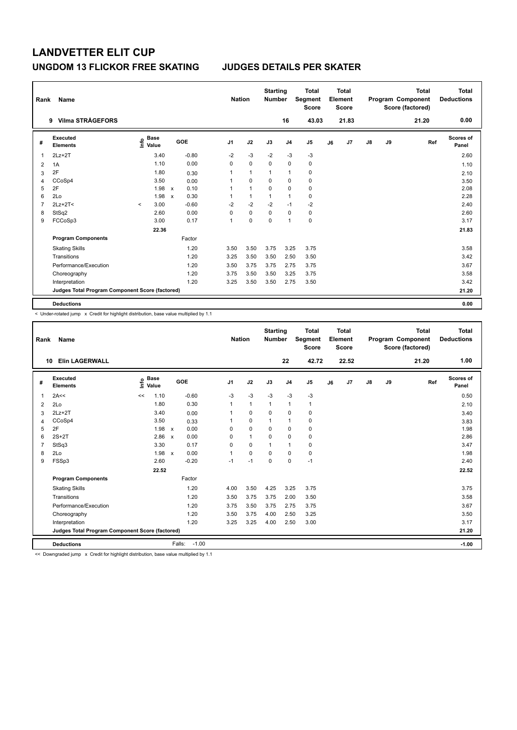| Rank | Name                                            |                                  |       |                           |            |                | <b>Nation</b> |                | <b>Starting</b><br><b>Number</b> |                | Total<br>Segment<br><b>Score</b> |    | <b>Total</b><br>Element<br><b>Score</b> |               |    | <b>Total</b><br>Program Component<br>Score (factored) | Total<br><b>Deductions</b> |
|------|-------------------------------------------------|----------------------------------|-------|---------------------------|------------|----------------|---------------|----------------|----------------------------------|----------------|----------------------------------|----|-----------------------------------------|---------------|----|-------------------------------------------------------|----------------------------|
|      | <b>Vilma STRÅGEFORS</b><br>9                    |                                  |       |                           |            |                |               |                |                                  | 16             | 43.03                            |    | 21.83                                   |               |    | 21.20                                                 | 0.00                       |
| #    | Executed<br><b>Elements</b>                     | <b>Base</b><br>e Base<br>⊆ Value |       |                           | <b>GOE</b> | J <sub>1</sub> |               | J2             | J3                               | J <sub>4</sub> | J5                               | J6 | J7                                      | $\mathsf{J}8$ | J9 | Ref                                                   | <b>Scores of</b><br>Panel  |
| 1    | $2Lz+2T$                                        |                                  | 3.40  |                           | $-0.80$    | $-2$           |               | $-3$           | $-2$                             | $-3$           | $-3$                             |    |                                         |               |    |                                                       | 2.60                       |
| 2    | 1A                                              |                                  | 1.10  |                           | 0.00       | 0              |               | $\mathbf 0$    | $\Omega$                         | $\mathbf 0$    | $\mathbf 0$                      |    |                                         |               |    |                                                       | 1.10                       |
| 3    | 2F                                              |                                  | 1.80  |                           | 0.30       | 1              |               | $\mathbf{1}$   | $\overline{1}$                   | $\overline{1}$ | 0                                |    |                                         |               |    |                                                       | 2.10                       |
| 4    | CCoSp4                                          |                                  | 3.50  |                           | 0.00       | 1              |               | $\mathbf 0$    | $\mathbf 0$                      | $\mathbf 0$    | $\pmb{0}$                        |    |                                         |               |    |                                                       | 3.50                       |
| 5    | 2F                                              |                                  | 1.98  | $\mathsf{x}$              | 0.10       | 1              |               | $\overline{1}$ | 0                                | $\mathbf 0$    | $\pmb{0}$                        |    |                                         |               |    |                                                       | 2.08                       |
| 6    | 2Lo                                             |                                  | 1.98  | $\boldsymbol{\mathsf{x}}$ | 0.30       | 1              |               | $\mathbf{1}$   | 1                                | $\overline{1}$ | $\pmb{0}$                        |    |                                         |               |    |                                                       | 2.28                       |
| 7    | $2Lz+2T<$                                       | $\prec$                          | 3.00  |                           | $-0.60$    | $-2$           |               | $-2$           | $-2$                             | $-1$           | $-2$                             |    |                                         |               |    |                                                       | 2.40                       |
| 8    | StSq2                                           |                                  | 2.60  |                           | 0.00       | 0              |               | $\mathbf 0$    | 0                                | 0              | 0                                |    |                                         |               |    |                                                       | 2.60                       |
| 9    | FCCoSp3                                         |                                  | 3.00  |                           | 0.17       | 1              |               | 0              | 0                                | 1              | $\pmb{0}$                        |    |                                         |               |    |                                                       | 3.17                       |
|      |                                                 |                                  | 22.36 |                           |            |                |               |                |                                  |                |                                  |    |                                         |               |    |                                                       | 21.83                      |
|      | <b>Program Components</b>                       |                                  |       |                           | Factor     |                |               |                |                                  |                |                                  |    |                                         |               |    |                                                       |                            |
|      | <b>Skating Skills</b>                           |                                  |       |                           | 1.20       | 3.50           |               | 3.50           | 3.75                             | 3.25           | 3.75                             |    |                                         |               |    |                                                       | 3.58                       |
|      | Transitions                                     |                                  |       |                           | 1.20       | 3.25           |               | 3.50           | 3.50                             | 2.50           | 3.50                             |    |                                         |               |    |                                                       | 3.42                       |
|      | Performance/Execution                           |                                  |       |                           | 1.20       | 3.50           |               | 3.75           | 3.75                             | 2.75           | 3.75                             |    |                                         |               |    |                                                       | 3.67                       |
|      | Choreography                                    |                                  |       |                           | 1.20       | 3.75           |               | 3.50           | 3.50                             | 3.25           | 3.75                             |    |                                         |               |    |                                                       | 3.58                       |
|      | Interpretation                                  |                                  |       |                           | 1.20       | 3.25           |               | 3.50           | 3.50                             | 2.75           | 3.50                             |    |                                         |               |    |                                                       | 3.42                       |
|      | Judges Total Program Component Score (factored) |                                  |       |                           |            |                |               |                |                                  |                |                                  |    |                                         |               |    |                                                       | 21.20                      |
|      | <b>Deductions</b>                               |                                  |       |                           |            |                |               |                |                                  |                |                                  |    |                                         |               |    |                                                       | 0.00                       |

-<br>< Under-rotated jump x Credit for highlight distribution, base value multiplied by 1.1

| Rank           | <b>Name</b>                                     |                              |                      |                | <b>Nation</b>  | <b>Starting</b><br><b>Number</b> |                | <b>Total</b><br>Segment<br><b>Score</b> |    | <b>Total</b><br>Element<br><b>Score</b> |               |    | <b>Total</b><br>Program Component<br>Score (factored) | <b>Total</b><br><b>Deductions</b> |
|----------------|-------------------------------------------------|------------------------------|----------------------|----------------|----------------|----------------------------------|----------------|-----------------------------------------|----|-----------------------------------------|---------------|----|-------------------------------------------------------|-----------------------------------|
|                | <b>Elin LAGERWALL</b><br>10                     |                              |                      |                |                |                                  | 22             | 42.72                                   |    | 22.52                                   |               |    | 21.20                                                 | 1.00                              |
| #              | Executed<br><b>Elements</b>                     | <b>Base</b><br>lnfo<br>Value | GOE                  | J <sub>1</sub> | J2             | J3                               | J <sub>4</sub> | J <sub>5</sub>                          | J6 | J7                                      | $\mathsf{J}8$ | J9 | Ref                                                   | Scores of<br>Panel                |
| $\overline{1}$ | 2A<<                                            | 1.10<br><<                   | $-0.60$              | -3             | $-3$           | $-3$                             | $-3$           | $-3$                                    |    |                                         |               |    |                                                       | 0.50                              |
| 2              | 2Lo                                             | 1.80                         | 0.30                 |                | $\mathbf{1}$   | $\mathbf{1}$                     | $\mathbf{1}$   | 1                                       |    |                                         |               |    |                                                       | 2.10                              |
| 3              | $2Lz+2T$                                        | 3.40                         | 0.00                 |                | $\mathbf 0$    | $\Omega$                         | $\mathbf 0$    | $\mathbf 0$                             |    |                                         |               |    |                                                       | 3.40                              |
| 4              | CCoSp4                                          | 3.50                         | 0.33                 |                | $\mathbf 0$    | $\mathbf{1}$                     | $\mathbf{1}$   | $\mathbf 0$                             |    |                                         |               |    |                                                       | 3.83                              |
| 5              | 2F                                              | 1.98                         | 0.00<br>$\mathsf{x}$ | $\Omega$       | $\mathbf 0$    | $\mathbf 0$                      | $\mathbf 0$    | 0                                       |    |                                         |               |    |                                                       | 1.98                              |
| 6              | $2S+2T$                                         | 2.86                         | 0.00<br>$\mathbf{x}$ | $\Omega$       | $\overline{1}$ | $\Omega$                         | $\Omega$       | 0                                       |    |                                         |               |    |                                                       | 2.86                              |
| $\overline{7}$ | StSq3                                           | 3.30                         | 0.17                 | 0              | $\mathbf 0$    | 1                                | $\mathbf{1}$   | $\mathbf 0$                             |    |                                         |               |    |                                                       | 3.47                              |
| 8              | 2Lo                                             | 1.98                         | 0.00<br>$\mathsf{x}$ |                | $\mathbf 0$    | 0                                | 0              | 0                                       |    |                                         |               |    |                                                       | 1.98                              |
| 9              | FSSp3                                           | 2.60                         | $-0.20$              | $-1$           | $-1$           | $\Omega$                         | $\mathbf 0$    | $-1$                                    |    |                                         |               |    |                                                       | 2.40                              |
|                |                                                 | 22.52                        |                      |                |                |                                  |                |                                         |    |                                         |               |    |                                                       | 22.52                             |
|                | <b>Program Components</b>                       |                              | Factor               |                |                |                                  |                |                                         |    |                                         |               |    |                                                       |                                   |
|                | <b>Skating Skills</b>                           |                              | 1.20                 | 4.00           | 3.50           | 4.25                             | 3.25           | 3.75                                    |    |                                         |               |    |                                                       | 3.75                              |
|                | Transitions                                     |                              | 1.20                 | 3.50           | 3.75           | 3.75                             | 2.00           | 3.50                                    |    |                                         |               |    |                                                       | 3.58                              |
|                | Performance/Execution                           |                              | 1.20                 | 3.75           | 3.50           | 3.75                             | 2.75           | 3.75                                    |    |                                         |               |    |                                                       | 3.67                              |
|                | Choreography                                    |                              | 1.20                 | 3.50           | 3.75           | 4.00                             | 2.50           | 3.25                                    |    |                                         |               |    |                                                       | 3.50                              |
|                | Interpretation                                  |                              | 1.20                 | 3.25           | 3.25           | 4.00                             | 2.50           | 3.00                                    |    |                                         |               |    |                                                       | 3.17                              |
|                | Judges Total Program Component Score (factored) |                              |                      |                |                |                                  |                |                                         |    |                                         |               |    |                                                       | 21.20                             |
|                | <b>Deductions</b>                               |                              | Falls:               | $-1.00$        |                |                                  |                |                                         |    |                                         |               |    |                                                       | $-1.00$                           |

<< Downgraded jump x Credit for highlight distribution, base value multiplied by 1.1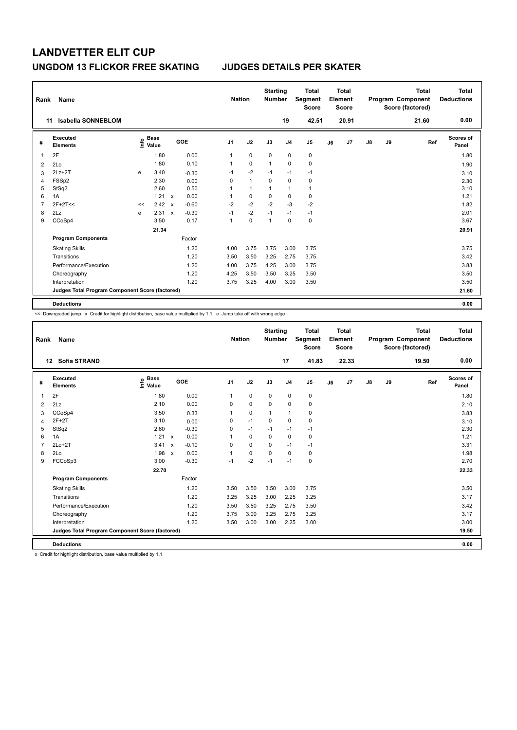| Rank           | Name                                            |    |                           |              |         |                | <b>Nation</b> | <b>Starting</b><br><b>Number</b> |                | Total<br>Segment<br><b>Score</b> |    | <b>Total</b><br>Element<br><b>Score</b> |    |    | <b>Total</b><br>Program Component<br>Score (factored) | <b>Total</b><br><b>Deductions</b> |
|----------------|-------------------------------------------------|----|---------------------------|--------------|---------|----------------|---------------|----------------------------------|----------------|----------------------------------|----|-----------------------------------------|----|----|-------------------------------------------------------|-----------------------------------|
| 11             | <b>Isabella SONNEBLOM</b>                       |    |                           |              |         |                |               |                                  | 19             | 42.51                            |    | 20.91                                   |    |    | 21.60                                                 | 0.00                              |
| #              | Executed<br><b>Elements</b>                     |    | Base<br>e Base<br>⊆ Value |              | GOE     | J <sub>1</sub> | J2            | J3                               | J <sub>4</sub> | J <sub>5</sub>                   | J6 | J7                                      | J8 | J9 | Ref                                                   | <b>Scores of</b><br>Panel         |
| 1              | 2F                                              |    | 1.80                      |              | 0.00    | $\mathbf{1}$   | $\mathbf 0$   | $\mathbf 0$                      | $\mathbf 0$    | $\pmb{0}$                        |    |                                         |    |    |                                                       | 1.80                              |
| $\overline{2}$ | 2Lo                                             |    | 1.80                      |              | 0.10    | 1              | $\mathbf 0$   | $\mathbf{1}$                     | $\mathbf 0$    | $\pmb{0}$                        |    |                                         |    |    |                                                       | 1.90                              |
| 3              | $2Lz+2T$                                        | e  | 3.40                      |              | $-0.30$ | $-1$           | $-2$          | $-1$                             | $-1$           | $-1$                             |    |                                         |    |    |                                                       | 3.10                              |
| 4              | FSSp2                                           |    | 2.30                      |              | 0.00    | 0              | $\mathbf{1}$  | $\Omega$                         | $\mathbf 0$    | 0                                |    |                                         |    |    |                                                       | 2.30                              |
| 5              | StSq2                                           |    | 2.60                      |              | 0.50    | 1              | $\mathbf{1}$  | 1                                | $\mathbf{1}$   | $\mathbf{1}$                     |    |                                         |    |    |                                                       | 3.10                              |
| 6              | 1A                                              |    | 1.21                      | $\mathsf{x}$ | 0.00    | 1              | $\mathbf 0$   | $\mathbf 0$                      | $\mathbf 0$    | $\mathbf 0$                      |    |                                         |    |    |                                                       | 1.21                              |
| 7              | $2F+2T<<$                                       | << | 2.42                      | $\mathsf{x}$ | $-0.60$ | $-2$           | $-2$          | $-2$                             | $-3$           | $-2$                             |    |                                         |    |    |                                                       | 1.82                              |
| 8              | 2Lz                                             | e  | 2.31                      | $\mathsf{x}$ | $-0.30$ | $-1$           | $-2$          | $-1$                             | $-1$           | $-1$                             |    |                                         |    |    |                                                       | 2.01                              |
| 9              | CCoSp4                                          |    | 3.50                      |              | 0.17    | 1              | $\mathbf 0$   | $\mathbf{1}$                     | 0              | $\pmb{0}$                        |    |                                         |    |    |                                                       | 3.67                              |
|                |                                                 |    | 21.34                     |              |         |                |               |                                  |                |                                  |    |                                         |    |    |                                                       | 20.91                             |
|                | <b>Program Components</b>                       |    |                           |              | Factor  |                |               |                                  |                |                                  |    |                                         |    |    |                                                       |                                   |
|                | <b>Skating Skills</b>                           |    |                           |              | 1.20    | 4.00           | 3.75          | 3.75                             | 3.00           | 3.75                             |    |                                         |    |    |                                                       | 3.75                              |
|                | Transitions                                     |    |                           |              | 1.20    | 3.50           | 3.50          | 3.25                             | 2.75           | 3.75                             |    |                                         |    |    |                                                       | 3.42                              |
|                | Performance/Execution                           |    |                           |              | 1.20    | 4.00           | 3.75          | 4.25                             | 3.00           | 3.75                             |    |                                         |    |    |                                                       | 3.83                              |
|                | Choreography                                    |    |                           |              | 1.20    | 4.25           | 3.50          | 3.50                             | 3.25           | 3.50                             |    |                                         |    |    |                                                       | 3.50                              |
|                | Interpretation                                  |    |                           |              | 1.20    | 3.75           | 3.25          | 4.00                             | 3.00           | 3.50                             |    |                                         |    |    |                                                       | 3.50                              |
|                | Judges Total Program Component Score (factored) |    |                           |              |         |                |               |                                  |                |                                  |    |                                         |    |    |                                                       | 21.60                             |
|                | <b>Deductions</b>                               |    |                           |              |         |                |               |                                  |                |                                  |    |                                         |    |    |                                                       | 0.00                              |

<< Downgraded jump x Credit for highlight distribution, base value multiplied by 1.1 e Jump take off with wrong edge

| Rank           | Name                                            |                              |                         |                | <b>Nation</b> | <b>Starting</b><br><b>Number</b> |                | <b>Total</b><br><b>Segment</b><br><b>Score</b> |    | Total<br>Element<br><b>Score</b> |               |    | <b>Total</b><br>Program Component<br>Score (factored) | Total<br><b>Deductions</b> |
|----------------|-------------------------------------------------|------------------------------|-------------------------|----------------|---------------|----------------------------------|----------------|------------------------------------------------|----|----------------------------------|---------------|----|-------------------------------------------------------|----------------------------|
|                | <b>Sofia STRAND</b><br>12                       |                              |                         |                |               |                                  | 17             | 41.83                                          |    | 22.33                            |               |    | 19.50                                                 | 0.00                       |
| #              | Executed<br><b>Elements</b>                     | <b>Base</b><br>lnfo<br>Value | GOE                     | J <sub>1</sub> | J2            | J3                               | J <sub>4</sub> | J <sub>5</sub>                                 | J6 | J7                               | $\mathsf{J}8$ | J9 | Ref                                                   | <b>Scores of</b><br>Panel  |
| 1              | 2F                                              | 1.80                         | 0.00                    | 1              | $\mathbf 0$   | $\mathbf 0$                      | $\mathbf 0$    | 0                                              |    |                                  |               |    |                                                       | 1.80                       |
| 2              | 2Lz                                             | 2.10                         | 0.00                    | 0              | $\mathbf 0$   | $\mathbf 0$                      | 0              | 0                                              |    |                                  |               |    |                                                       | 2.10                       |
| 3              | CCoSp4                                          | 3.50                         | 0.33                    | 1              | $\mathbf 0$   | $\mathbf{1}$                     | $\mathbf{1}$   | 0                                              |    |                                  |               |    |                                                       | 3.83                       |
| 4              | $2F+2T$                                         | 3.10                         | 0.00                    | 0              | $-1$          | $\mathbf 0$                      | $\mathbf 0$    | $\mathbf 0$                                    |    |                                  |               |    |                                                       | 3.10                       |
| 5              | StSq2                                           | 2.60                         | $-0.30$                 | 0              | $-1$          | $-1$                             | $-1$           | $-1$                                           |    |                                  |               |    |                                                       | 2.30                       |
| 6              | 1A                                              | 1.21                         | 0.00<br>$\mathsf{x}$    | 1              | $\mathbf 0$   | $\mathbf 0$                      | $\mathbf 0$    | 0                                              |    |                                  |               |    |                                                       | 1.21                       |
| $\overline{7}$ | $2Lo+2T$                                        | 3.41                         | $-0.10$<br>$\mathbf{x}$ | $\Omega$       | $\Omega$      | $\Omega$                         | $-1$           | $-1$                                           |    |                                  |               |    |                                                       | 3.31                       |
| 8              | 2Lo                                             | 1.98                         | 0.00<br>$\mathbf{x}$    | 1              | $\mathbf 0$   | $\mathbf 0$                      | 0              | $\mathbf 0$                                    |    |                                  |               |    |                                                       | 1.98                       |
| 9              | FCCoSp3                                         | 3.00                         | $-0.30$                 | $-1$           | $-2$          | $-1$                             | $-1$           | $\mathbf 0$                                    |    |                                  |               |    |                                                       | 2.70                       |
|                |                                                 | 22.70                        |                         |                |               |                                  |                |                                                |    |                                  |               |    |                                                       | 22.33                      |
|                | <b>Program Components</b>                       |                              | Factor                  |                |               |                                  |                |                                                |    |                                  |               |    |                                                       |                            |
|                | <b>Skating Skills</b>                           |                              | 1.20                    | 3.50           | 3.50          | 3.50                             | 3.00           | 3.75                                           |    |                                  |               |    |                                                       | 3.50                       |
|                | Transitions                                     |                              | 1.20                    | 3.25           | 3.25          | 3.00                             | 2.25           | 3.25                                           |    |                                  |               |    |                                                       | 3.17                       |
|                | Performance/Execution                           |                              | 1.20                    | 3.50           | 3.50          | 3.25                             | 2.75           | 3.50                                           |    |                                  |               |    |                                                       | 3.42                       |
|                | Choreography                                    |                              | 1.20                    | 3.75           | 3.00          | 3.25                             | 2.75           | 3.25                                           |    |                                  |               |    |                                                       | 3.17                       |
|                | Interpretation                                  |                              | 1.20                    | 3.50           | 3.00          | 3.00                             | 2.25           | 3.00                                           |    |                                  |               |    |                                                       | 3.00                       |
|                | Judges Total Program Component Score (factored) |                              |                         |                |               |                                  |                |                                                |    |                                  |               |    |                                                       | 19.50                      |
|                | <b>Deductions</b>                               |                              |                         |                |               |                                  |                |                                                |    |                                  |               |    |                                                       | 0.00                       |

x Credit for highlight distribution, base value multiplied by 1.1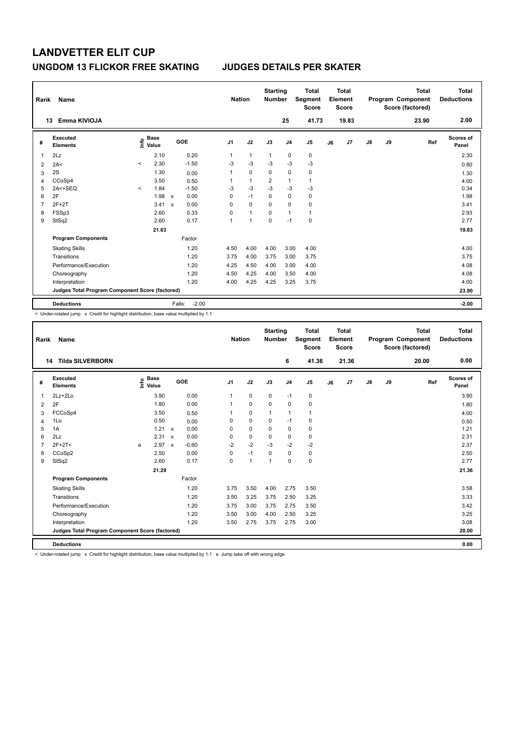| Rank           | Name                                            |         |                                  |                           |         | <b>Nation</b>  |                | <b>Starting</b><br><b>Number</b> |                | <b>Total</b><br>Segment<br><b>Score</b> |    | <b>Total</b><br>Element<br><b>Score</b> |               |    | <b>Total</b><br>Program Component<br>Score (factored) | Total<br><b>Deductions</b> |
|----------------|-------------------------------------------------|---------|----------------------------------|---------------------------|---------|----------------|----------------|----------------------------------|----------------|-----------------------------------------|----|-----------------------------------------|---------------|----|-------------------------------------------------------|----------------------------|
|                | Emma KIVIOJA<br>13                              |         |                                  |                           |         |                |                |                                  | 25             | 41.73                                   |    | 19.83                                   |               |    | 23.90                                                 | 2.00                       |
| #              | Executed<br><b>Elements</b>                     |         | <b>Base</b><br>e Base<br>⊆ Value |                           | GOE     | J <sub>1</sub> | J2             | J3                               | J <sub>4</sub> | J <sub>5</sub>                          | J6 | J7                                      | $\mathsf{J}8$ | J9 | Ref                                                   | Scores of<br>Panel         |
| 1              | 2Lz                                             |         | 2.10                             |                           | 0.20    | 1              | $\mathbf{1}$   | $\mathbf{1}$                     | $\mathbf 0$    | $\pmb{0}$                               |    |                                         |               |    |                                                       | 2.30                       |
| $\overline{2}$ | 2A<                                             | $\prec$ | 2.30                             |                           | $-1.50$ | $-3$           | $-3$           | $-3$                             | $-3$           | $-3$                                    |    |                                         |               |    |                                                       | 0.80                       |
| 3              | 2S                                              |         | 1.30                             |                           | 0.00    | 1              | $\mathbf 0$    | 0                                | $\mathbf 0$    | 0                                       |    |                                         |               |    |                                                       | 1.30                       |
| 4              | CCoSp4                                          |         | 3.50                             |                           | 0.50    | 1              | $\mathbf{1}$   | $\overline{2}$                   | $\overline{1}$ | $\mathbf{1}$                            |    |                                         |               |    |                                                       | 4.00                       |
| 5              | 2A<+SEQ                                         | $\prec$ | 1.84                             |                           | $-1.50$ | $-3$           | $-3$           | $-3$                             | $-3$           | $-3$                                    |    |                                         |               |    |                                                       | 0.34                       |
| 6              | 2F                                              |         | 1.98                             | $\mathsf{x}$              | 0.00    | 0              | $-1$           | 0                                | $\mathbf 0$    | 0                                       |    |                                         |               |    |                                                       | 1.98                       |
| 7              | $2F+2T$                                         |         | 3.41                             | $\boldsymbol{\mathsf{x}}$ | 0.00    | 0              | $\Omega$       | 0                                | $\Omega$       | $\mathbf 0$                             |    |                                         |               |    |                                                       | 3.41                       |
| 8              | FSSp3                                           |         | 2.60                             |                           | 0.33    | 0              | $\mathbf{1}$   | 0                                | $\overline{1}$ | $\mathbf{1}$                            |    |                                         |               |    |                                                       | 2.93                       |
| 9              | StSq2                                           |         | 2.60                             |                           | 0.17    | 1              | $\overline{1}$ | 0                                | $-1$           | $\pmb{0}$                               |    |                                         |               |    |                                                       | 2.77                       |
|                |                                                 |         | 21.63                            |                           |         |                |                |                                  |                |                                         |    |                                         |               |    |                                                       | 19.83                      |
|                | <b>Program Components</b>                       |         |                                  |                           | Factor  |                |                |                                  |                |                                         |    |                                         |               |    |                                                       |                            |
|                | <b>Skating Skills</b>                           |         |                                  |                           | 1.20    | 4.50           | 4.00           | 4.00                             | 3.00           | 4.00                                    |    |                                         |               |    |                                                       | 4.00                       |
|                | Transitions                                     |         |                                  |                           | 1.20    | 3.75           | 4.00           | 3.75                             | 3.00           | 3.75                                    |    |                                         |               |    |                                                       | 3.75                       |
|                | Performance/Execution                           |         |                                  |                           | 1.20    | 4.25           | 4.50           | 4.00                             | 3.00           | 4.00                                    |    |                                         |               |    |                                                       | 4.08                       |
|                | Choreography                                    |         |                                  |                           | 1.20    | 4.50           | 4.25           | 4.00                             | 3.50           | 4.00                                    |    |                                         |               |    |                                                       | 4.08                       |
|                | Interpretation                                  |         |                                  |                           | 1.20    | 4.00           | 4.25           | 4.25                             | 3.25           | 3.75                                    |    |                                         |               |    |                                                       | 4.00                       |
|                | Judges Total Program Component Score (factored) |         |                                  |                           |         |                |                |                                  |                |                                         |    |                                         |               |    |                                                       | 23.90                      |
|                | <b>Deductions</b>                               |         |                                  | Falls:                    | $-2.00$ |                |                |                                  |                |                                         |    |                                         |               |    |                                                       | $-2.00$                    |

< Under-rotated jump x Credit for highlight distribution, base value multiplied by 1.1

| Rank           | <b>Name</b>                                     |   |                                    |                           |         |                | <b>Nation</b> | <b>Starting</b><br><b>Number</b> |                | <b>Total</b><br>Segment<br><b>Score</b> |    | Total<br>Element<br><b>Score</b> |               |    | <b>Total</b><br>Program Component<br>Score (factored) | <b>Total</b><br><b>Deductions</b> |
|----------------|-------------------------------------------------|---|------------------------------------|---------------------------|---------|----------------|---------------|----------------------------------|----------------|-----------------------------------------|----|----------------------------------|---------------|----|-------------------------------------------------------|-----------------------------------|
|                | <b>Tilda SILVERBORN</b><br>14                   |   |                                    |                           |         |                |               |                                  | 6              | 41.36                                   |    | 21.36                            |               |    | 20.00                                                 | 0.00                              |
| #              | Executed<br><b>Elements</b>                     |   | <b>Base</b><br>$\frac{6}{5}$ Value |                           | GOE     | J <sub>1</sub> | J2            | J3                               | J <sub>4</sub> | J <sub>5</sub>                          | J6 | J7                               | $\mathsf{J}8$ | J9 | Ref                                                   | <b>Scores of</b><br>Panel         |
| $\overline{1}$ | $2Lz + 2Lo$                                     |   | 3.90                               |                           | 0.00    | $\mathbf{1}$   | $\mathbf 0$   | $\mathbf 0$                      | $-1$           | 0                                       |    |                                  |               |    |                                                       | 3.90                              |
| 2              | 2F                                              |   | 1.80                               |                           | 0.00    |                | $\mathbf 0$   | $\Omega$                         | $\mathbf 0$    | $\mathbf 0$                             |    |                                  |               |    |                                                       | 1.80                              |
| 3              | FCCoSp4                                         |   | 3.50                               |                           | 0.50    |                | $\mathbf 0$   | $\mathbf{1}$                     | $\mathbf{1}$   | 1                                       |    |                                  |               |    |                                                       | 4.00                              |
| $\overline{4}$ | 1Lo                                             |   | 0.50                               |                           | 0.00    | $\Omega$       | $\Omega$      | $\Omega$                         | $-1$           | $\mathbf 0$                             |    |                                  |               |    |                                                       | 0.50                              |
| 5              | 1A                                              |   | 1.21                               | $\mathsf{x}$              | 0.00    | 0              | $\mathbf 0$   | 0                                | $\mathbf 0$    | 0                                       |    |                                  |               |    |                                                       | 1.21                              |
| 6              | 2Lz                                             |   | 2.31                               | $\boldsymbol{\mathsf{x}}$ | 0.00    | $\Omega$       | $\mathbf 0$   | $\Omega$                         | $\mathbf 0$    | $\mathbf 0$                             |    |                                  |               |    |                                                       | 2.31                              |
| $\overline{7}$ | $2F+2T<$                                        | e | 2.97                               | $\boldsymbol{\mathsf{x}}$ | $-0.60$ | $-2$           | $-2$          | $-3$                             | $-2$           | $-2$                                    |    |                                  |               |    |                                                       | 2.37                              |
| 8              | CCoSp2                                          |   | 2.50                               |                           | 0.00    | $\Omega$       | $-1$          | $\Omega$                         | $\Omega$       | $\pmb{0}$                               |    |                                  |               |    |                                                       | 2.50                              |
| 9              | StSq2                                           |   | 2.60                               |                           | 0.17    | 0              | $\mathbf{1}$  | $\overline{1}$                   | $\mathbf 0$    | $\mathbf 0$                             |    |                                  |               |    |                                                       | 2.77                              |
|                |                                                 |   | 21.29                              |                           |         |                |               |                                  |                |                                         |    |                                  |               |    |                                                       | 21.36                             |
|                | <b>Program Components</b>                       |   |                                    |                           | Factor  |                |               |                                  |                |                                         |    |                                  |               |    |                                                       |                                   |
|                | <b>Skating Skills</b>                           |   |                                    |                           | 1.20    | 3.75           | 3.50          | 4.00                             | 2.75           | 3.50                                    |    |                                  |               |    |                                                       | 3.58                              |
|                | Transitions                                     |   |                                    |                           | 1.20    | 3.50           | 3.25          | 3.75                             | 2.50           | 3.25                                    |    |                                  |               |    |                                                       | 3.33                              |
|                | Performance/Execution                           |   |                                    |                           | 1.20    | 3.75           | 3.00          | 3.75                             | 2.75           | 3.50                                    |    |                                  |               |    |                                                       | 3.42                              |
|                | Choreography                                    |   |                                    |                           | 1.20    | 3.50           | 3.00          | 4.00                             | 2.50           | 3.25                                    |    |                                  |               |    |                                                       | 3.25                              |
|                | Interpretation                                  |   |                                    |                           | 1.20    | 3.50           | 2.75          | 3.75                             | 2.75           | 3.00                                    |    |                                  |               |    |                                                       | 3.08                              |
|                | Judges Total Program Component Score (factored) |   |                                    |                           |         |                |               |                                  |                |                                         |    |                                  |               |    |                                                       | 20.00                             |
|                | <b>Deductions</b>                               |   |                                    |                           |         |                |               |                                  |                |                                         |    |                                  |               |    |                                                       | 0.00                              |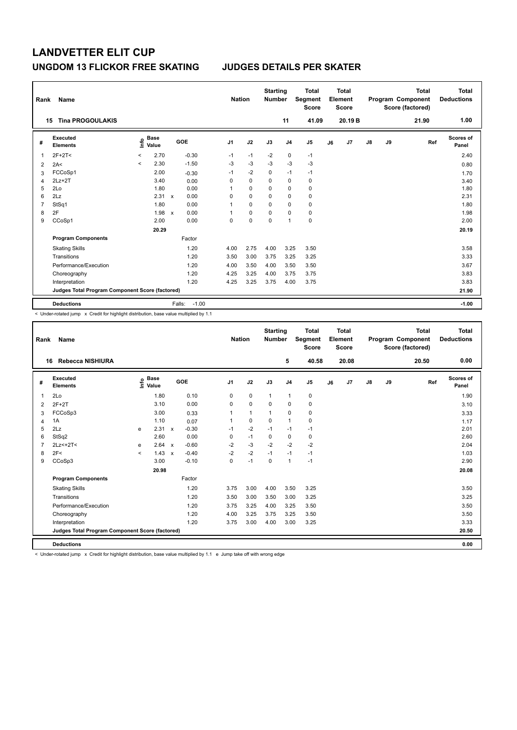| Rank | Name                                            |                          |                                      |                           |                   | <b>Nation</b>  |             | <b>Starting</b><br><b>Number</b> |                | <b>Total</b><br>Segment<br><b>Score</b> |    | <b>Total</b><br>Element<br><b>Score</b> |               |    | <b>Total</b><br>Program Component<br>Score (factored) | <b>Total</b><br><b>Deductions</b> |
|------|-------------------------------------------------|--------------------------|--------------------------------------|---------------------------|-------------------|----------------|-------------|----------------------------------|----------------|-----------------------------------------|----|-----------------------------------------|---------------|----|-------------------------------------------------------|-----------------------------------|
|      | <b>Tina PROGOULAKIS</b><br>15                   |                          |                                      |                           |                   |                |             |                                  | 11             | 41.09                                   |    | 20.19 B                                 |               |    | 21.90                                                 | 1.00                              |
| #    | <b>Executed</b><br><b>Elements</b>              |                          | Base<br>e <sup>Base</sup><br>⊆ Value |                           | GOE               | J <sub>1</sub> | J2          | J3                               | J <sub>4</sub> | J <sub>5</sub>                          | J6 | J7                                      | $\mathsf{J}8$ | J9 | Ref                                                   | Scores of<br>Panel                |
| 1    | $2F+2T<$                                        | $\overline{\phantom{0}}$ | 2.70                                 |                           | $-0.30$           | $-1$           | $-1$        | $-2$                             | 0              | $-1$                                    |    |                                         |               |    |                                                       | 2.40                              |
| 2    | 2A<                                             | $\overline{\phantom{a}}$ | 2.30                                 |                           | $-1.50$           | $-3$           | $-3$        | $-3$                             | $-3$           | $-3$                                    |    |                                         |               |    |                                                       | 0.80                              |
| 3    | FCCoSp1                                         |                          | 2.00                                 |                           | $-0.30$           | $-1$           | -2          | 0                                | $-1$           | $-1$                                    |    |                                         |               |    |                                                       | 1.70                              |
| 4    | $2Lz+2T$                                        |                          | 3.40                                 |                           | 0.00              | 0              | $\mathbf 0$ | 0                                | 0              | 0                                       |    |                                         |               |    |                                                       | 3.40                              |
| 5    | 2Lo                                             |                          | 1.80                                 |                           | 0.00              | 1              | $\Omega$    | 0                                | 0              | 0                                       |    |                                         |               |    |                                                       | 1.80                              |
| 6    | 2Lz                                             |                          | 2.31                                 | $\boldsymbol{\mathsf{x}}$ | 0.00              | 0              | 0           | 0                                | 0              | 0                                       |    |                                         |               |    |                                                       | 2.31                              |
| 7    | StSq1                                           |                          | 1.80                                 |                           | 0.00              | 1              | 0           | 0                                | 0              | 0                                       |    |                                         |               |    |                                                       | 1.80                              |
| 8    | 2F                                              |                          | 1.98                                 | $\mathsf{x}$              | 0.00              | 1              | $\mathbf 0$ | 0                                | $\mathbf 0$    | $\pmb{0}$                               |    |                                         |               |    |                                                       | 1.98                              |
| 9    | CCoSp1                                          |                          | 2.00                                 |                           | 0.00              | 0              | $\mathbf 0$ | 0                                | 1              | $\pmb{0}$                               |    |                                         |               |    |                                                       | 2.00                              |
|      |                                                 |                          | 20.29                                |                           |                   |                |             |                                  |                |                                         |    |                                         |               |    |                                                       | 20.19                             |
|      | <b>Program Components</b>                       |                          |                                      |                           | Factor            |                |             |                                  |                |                                         |    |                                         |               |    |                                                       |                                   |
|      | <b>Skating Skills</b>                           |                          |                                      |                           | 1.20              | 4.00           | 2.75        | 4.00                             | 3.25           | 3.50                                    |    |                                         |               |    |                                                       | 3.58                              |
|      | Transitions                                     |                          |                                      |                           | 1.20              | 3.50           | 3.00        | 3.75                             | 3.25           | 3.25                                    |    |                                         |               |    |                                                       | 3.33                              |
|      | Performance/Execution                           |                          |                                      |                           | 1.20              | 4.00           | 3.50        | 4.00                             | 3.50           | 3.50                                    |    |                                         |               |    |                                                       | 3.67                              |
|      | Choreography                                    |                          |                                      |                           | 1.20              | 4.25           | 3.25        | 4.00                             | 3.75           | 3.75                                    |    |                                         |               |    |                                                       | 3.83                              |
|      | Interpretation                                  |                          |                                      |                           | 1.20              | 4.25           | 3.25        | 3.75                             | 4.00           | 3.75                                    |    |                                         |               |    |                                                       | 3.83                              |
|      | Judges Total Program Component Score (factored) |                          |                                      |                           |                   |                |             |                                  |                |                                         |    |                                         |               |    |                                                       | 21.90                             |
|      | <b>Deductions</b>                               |                          |                                      |                           | $-1.00$<br>Falls: |                |             |                                  |                |                                         |    |                                         |               |    |                                                       | $-1.00$                           |

< Under-rotated jump x Credit for highlight distribution, base value multiplied by 1.1

| Rank           | Name                                            |         |                                  |                           |         | <b>Nation</b>  |              | <b>Starting</b><br><b>Number</b> |                | <b>Total</b><br>Segment<br><b>Score</b> |    | <b>Total</b><br>Element<br><b>Score</b> |               |    | <b>Total</b><br>Program Component<br>Score (factored) | <b>Total</b><br><b>Deductions</b> |
|----------------|-------------------------------------------------|---------|----------------------------------|---------------------------|---------|----------------|--------------|----------------------------------|----------------|-----------------------------------------|----|-----------------------------------------|---------------|----|-------------------------------------------------------|-----------------------------------|
|                | Rebecca NISHIURA<br>16                          |         |                                  |                           |         |                |              |                                  | 5              | 40.58                                   |    | 20.08                                   |               |    | 20.50                                                 | 0.00                              |
| #              | Executed<br><b>Elements</b>                     |         | <b>Base</b><br>e Base<br>E Value |                           | GOE     | J <sub>1</sub> | J2           | J3                               | J <sub>4</sub> | J5                                      | J6 | J7                                      | $\mathsf{J}8$ | J9 | Ref                                                   | <b>Scores of</b><br>Panel         |
| 1              | 2Lo                                             |         | 1.80                             |                           | 0.10    | 0              | $\mathbf 0$  | $\mathbf{1}$                     | $\mathbf{1}$   | 0                                       |    |                                         |               |    |                                                       | 1.90                              |
| 2              | $2F+2T$                                         |         | 3.10                             |                           | 0.00    | 0              | $\mathbf 0$  | $\Omega$                         | $\mathbf 0$    | 0                                       |    |                                         |               |    |                                                       | 3.10                              |
| 3              | FCCoSp3                                         |         | 3.00                             |                           | 0.33    | 1              | $\mathbf{1}$ | $\mathbf{1}$                     | $\mathbf 0$    | 0                                       |    |                                         |               |    |                                                       | 3.33                              |
| 4              | 1A                                              |         | 1.10                             |                           | 0.07    | 1              | 0            | $\mathbf 0$                      | $\mathbf{1}$   | 0                                       |    |                                         |               |    |                                                       | 1.17                              |
| 5              | 2Lz                                             | e       | 2.31                             | $\mathsf{x}$              | $-0.30$ | $-1$           | $-2$         | $-1$                             | $-1$           | $-1$                                    |    |                                         |               |    |                                                       | 2.01                              |
| 6              | StSq2                                           |         | 2.60                             |                           | 0.00    | 0              | $-1$         | 0                                | 0              | 0                                       |    |                                         |               |    |                                                       | 2.60                              |
| $\overline{7}$ | $2Lz<+2T<$                                      | e       | 2.64                             | $\boldsymbol{\mathsf{x}}$ | $-0.60$ | $-2$           | $-3$         | $-2$                             | $-2$           | $-2$                                    |    |                                         |               |    |                                                       | 2.04                              |
| 8              | 2F<                                             | $\prec$ | 1.43                             | $\boldsymbol{\mathsf{x}}$ | $-0.40$ | $-2$           | $-2$         | $-1$                             | $-1$           | $-1$                                    |    |                                         |               |    |                                                       | 1.03                              |
| 9              | CCoSp3                                          |         | 3.00                             |                           | $-0.10$ | 0              | $-1$         | 0                                | $\mathbf{1}$   | $-1$                                    |    |                                         |               |    |                                                       | 2.90                              |
|                |                                                 |         | 20.98                            |                           |         |                |              |                                  |                |                                         |    |                                         |               |    |                                                       | 20.08                             |
|                | <b>Program Components</b>                       |         |                                  |                           | Factor  |                |              |                                  |                |                                         |    |                                         |               |    |                                                       |                                   |
|                | <b>Skating Skills</b>                           |         |                                  |                           | 1.20    | 3.75           | 3.00         | 4.00                             | 3.50           | 3.25                                    |    |                                         |               |    |                                                       | 3.50                              |
|                | Transitions                                     |         |                                  |                           | 1.20    | 3.50           | 3.00         | 3.50                             | 3.00           | 3.25                                    |    |                                         |               |    |                                                       | 3.25                              |
|                | Performance/Execution                           |         |                                  |                           | 1.20    | 3.75           | 3.25         | 4.00                             | 3.25           | 3.50                                    |    |                                         |               |    |                                                       | 3.50                              |
|                | Choreography                                    |         |                                  |                           | 1.20    | 4.00           | 3.25         | 3.75                             | 3.25           | 3.50                                    |    |                                         |               |    |                                                       | 3.50                              |
|                | Interpretation                                  |         |                                  |                           | 1.20    | 3.75           | 3.00         | 4.00                             | 3.00           | 3.25                                    |    |                                         |               |    |                                                       | 3.33                              |
|                | Judges Total Program Component Score (factored) |         |                                  |                           |         |                |              |                                  |                |                                         |    |                                         |               |    |                                                       | 20.50                             |
|                | <b>Deductions</b>                               |         |                                  |                           |         |                |              |                                  |                |                                         |    |                                         |               |    |                                                       | 0.00                              |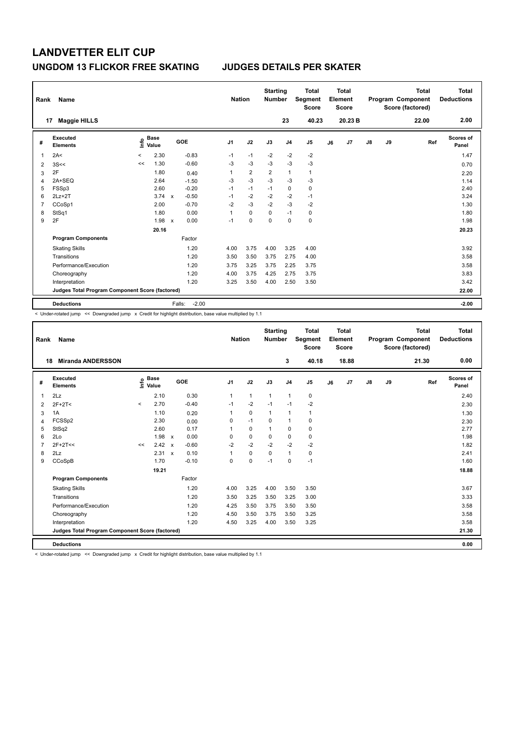| Rank           | Name                                            |                     |                      |                           |                   | <b>Nation</b>  |                | <b>Starting</b><br><b>Number</b> |                | <b>Total</b><br><b>Segment</b><br><b>Score</b> |    | <b>Total</b><br>Element<br>Score |               |    | <b>Total</b><br>Program Component<br>Score (factored) | Total<br><b>Deductions</b> |
|----------------|-------------------------------------------------|---------------------|----------------------|---------------------------|-------------------|----------------|----------------|----------------------------------|----------------|------------------------------------------------|----|----------------------------------|---------------|----|-------------------------------------------------------|----------------------------|
| 17             | <b>Maggie HILLS</b>                             |                     |                      |                           |                   |                |                |                                  | 23             | 40.23                                          |    | 20.23 B                          |               |    | 22.00                                                 | 2.00                       |
| #              | Executed<br><b>Elements</b>                     | ١nfo                | <b>Base</b><br>Value |                           | <b>GOE</b>        | J <sub>1</sub> | J2             | J3                               | J <sub>4</sub> | J <sub>5</sub>                                 | J6 | J7                               | $\mathsf{J}8$ | J9 | Ref                                                   | <b>Scores of</b><br>Panel  |
|                | 2A<                                             | $\hat{\phantom{a}}$ | 2.30                 |                           | $-0.83$           | $-1$           | $-1$           | $-2$                             | $-2$           | $-2$                                           |    |                                  |               |    |                                                       | 1.47                       |
| $\overline{2}$ | 3S<<                                            | <<                  | 1.30                 |                           | $-0.60$           | $-3$           | $-3$           | $-3$                             | $-3$           | $-3$                                           |    |                                  |               |    |                                                       | 0.70                       |
| 3              | 2F                                              |                     | 1.80                 |                           | 0.40              | 1              | $\overline{2}$ | $\overline{2}$                   | $\overline{1}$ | $\mathbf{1}$                                   |    |                                  |               |    |                                                       | 2.20                       |
| 4              | 2A+SEQ                                          |                     | 2.64                 |                           | $-1.50$           | $-3$           | $-3$           | $-3$                             | $-3$           | -3                                             |    |                                  |               |    |                                                       | 1.14                       |
| 5              | FSSp3                                           |                     | 2.60                 |                           | $-0.20$           | $-1$           | $-1$           | $-1$                             | 0              | 0                                              |    |                                  |               |    |                                                       | 2.40                       |
| 6              | $2Lz+2T$                                        |                     | 3.74                 | $\mathsf{x}$              | $-0.50$           | $-1$           | $-2$           | $-2$                             | $-2$           | $-1$                                           |    |                                  |               |    |                                                       | 3.24                       |
| 7              | CCoSp1                                          |                     | 2.00                 |                           | $-0.70$           | $-2$           | $-3$           | $-2$                             | $-3$           | -2                                             |    |                                  |               |    |                                                       | 1.30                       |
| 8              | StSq1                                           |                     | 1.80                 |                           | 0.00              | 1              | $\mathbf 0$    | $\Omega$                         | $-1$           | 0                                              |    |                                  |               |    |                                                       | 1.80                       |
| 9              | 2F                                              |                     | 1.98                 | $\boldsymbol{\mathsf{x}}$ | 0.00              | $-1$           | $\mathbf 0$    | $\mathbf 0$                      | $\mathbf 0$    | $\mathbf 0$                                    |    |                                  |               |    |                                                       | 1.98                       |
|                |                                                 |                     | 20.16                |                           |                   |                |                |                                  |                |                                                |    |                                  |               |    |                                                       | 20.23                      |
|                | <b>Program Components</b>                       |                     |                      |                           | Factor            |                |                |                                  |                |                                                |    |                                  |               |    |                                                       |                            |
|                | <b>Skating Skills</b>                           |                     |                      |                           | 1.20              | 4.00           | 3.75           | 4.00                             | 3.25           | 4.00                                           |    |                                  |               |    |                                                       | 3.92                       |
|                | Transitions                                     |                     |                      |                           | 1.20              | 3.50           | 3.50           | 3.75                             | 2.75           | 4.00                                           |    |                                  |               |    |                                                       | 3.58                       |
|                | Performance/Execution                           |                     |                      |                           | 1.20              | 3.75           | 3.25           | 3.75                             | 2.25           | 3.75                                           |    |                                  |               |    |                                                       | 3.58                       |
|                | Choreography                                    |                     |                      |                           | 1.20              | 4.00           | 3.75           | 4.25                             | 2.75           | 3.75                                           |    |                                  |               |    |                                                       | 3.83                       |
|                | Interpretation                                  |                     |                      |                           | 1.20              | 3.25           | 3.50           | 4.00                             | 2.50           | 3.50                                           |    |                                  |               |    |                                                       | 3.42                       |
|                | Judges Total Program Component Score (factored) |                     |                      |                           |                   |                |                |                                  |                |                                                |    |                                  |               |    |                                                       | 22.00                      |
|                | <b>Deductions</b>                               |                     |                      |                           | $-2.00$<br>Falls: |                |                |                                  |                |                                                |    |                                  |               |    |                                                       | $-2.00$                    |

-<br>< Under-rotated jump << Downgraded jump x Credit for highlight distribution, base value multiplied by 1.1

| Rank           | Name                                            |         |                                  |                           |         |                | <b>Nation</b> | <b>Starting</b><br><b>Number</b> |                | <b>Total</b><br>Segment<br><b>Score</b> |    | Total<br>Element<br><b>Score</b> |    |    | <b>Total</b><br>Program Component<br>Score (factored) | Total<br><b>Deductions</b> |
|----------------|-------------------------------------------------|---------|----------------------------------|---------------------------|---------|----------------|---------------|----------------------------------|----------------|-----------------------------------------|----|----------------------------------|----|----|-------------------------------------------------------|----------------------------|
| 18             | <b>Miranda ANDERSSON</b>                        |         |                                  |                           |         |                |               |                                  | 3              | 40.18                                   |    | 18.88                            |    |    | 21.30                                                 | 0.00                       |
| #              | Executed<br><b>Elements</b>                     |         | <b>Base</b><br>e Base<br>⊆ Value |                           | GOE     | J <sub>1</sub> | J2            | J3                               | J <sub>4</sub> | J <sub>5</sub>                          | J6 | J7                               | J8 | J9 | Ref                                                   | Scores of<br>Panel         |
| $\overline{1}$ | 2Lz                                             |         | 2.10                             |                           | 0.30    | $\mathbf{1}$   | $\mathbf{1}$  | $\mathbf{1}$                     | $\mathbf{1}$   | $\mathbf 0$                             |    |                                  |    |    |                                                       | 2.40                       |
| 2              | $2F+2T<$                                        | $\prec$ | 2.70                             |                           | $-0.40$ | $-1$           | $-2$          | $-1$                             | $-1$           | $-2$                                    |    |                                  |    |    |                                                       | 2.30                       |
| 3              | 1A                                              |         | 1.10                             |                           | 0.20    | 1              | $\mathbf 0$   | $\mathbf{1}$                     | $\mathbf{1}$   | 1                                       |    |                                  |    |    |                                                       | 1.30                       |
| 4              | FCSSp2                                          |         | 2.30                             |                           | 0.00    | 0              | $-1$          | $\Omega$                         | $\mathbf{1}$   | $\mathbf 0$                             |    |                                  |    |    |                                                       | 2.30                       |
| 5              | StSq2                                           |         | 2.60                             |                           | 0.17    |                | $\mathbf 0$   | $\mathbf{1}$                     | $\mathbf 0$    | $\mathbf 0$                             |    |                                  |    |    |                                                       | 2.77                       |
| 6              | 2Lo                                             |         | 1.98                             | $\mathsf{x}$              | 0.00    | $\Omega$       | $\mathbf 0$   | $\Omega$                         | $\mathbf 0$    | $\mathbf 0$                             |    |                                  |    |    |                                                       | 1.98                       |
| $\overline{7}$ | $2F+2T<<$                                       | <<      | 2.42                             | $\boldsymbol{\mathsf{x}}$ | $-0.60$ | $-2$           | $-2$          | $-2$                             | $-2$           | $-2$                                    |    |                                  |    |    |                                                       | 1.82                       |
| 8              | 2Lz                                             |         | 2.31                             | $\boldsymbol{\mathsf{x}}$ | 0.10    |                | $\mathbf 0$   | $\mathbf 0$                      | $\mathbf{1}$   | $\mathbf 0$                             |    |                                  |    |    |                                                       | 2.41                       |
| 9              | CCoSpB                                          |         | 1.70                             |                           | $-0.10$ | 0              | $\pmb{0}$     | $-1$                             | 0              | $-1$                                    |    |                                  |    |    |                                                       | 1.60                       |
|                |                                                 |         | 19.21                            |                           |         |                |               |                                  |                |                                         |    |                                  |    |    |                                                       | 18.88                      |
|                | <b>Program Components</b>                       |         |                                  |                           | Factor  |                |               |                                  |                |                                         |    |                                  |    |    |                                                       |                            |
|                | <b>Skating Skills</b>                           |         |                                  |                           | 1.20    | 4.00           | 3.25          | 4.00                             | 3.50           | 3.50                                    |    |                                  |    |    |                                                       | 3.67                       |
|                | Transitions                                     |         |                                  |                           | 1.20    | 3.50           | 3.25          | 3.50                             | 3.25           | 3.00                                    |    |                                  |    |    |                                                       | 3.33                       |
|                | Performance/Execution                           |         |                                  |                           | 1.20    | 4.25           | 3.50          | 3.75                             | 3.50           | 3.50                                    |    |                                  |    |    |                                                       | 3.58                       |
|                | Choreography                                    |         |                                  |                           | 1.20    | 4.50           | 3.50          | 3.75                             | 3.50           | 3.25                                    |    |                                  |    |    |                                                       | 3.58                       |
|                | Interpretation                                  |         |                                  |                           | 1.20    | 4.50           | 3.25          | 4.00                             | 3.50           | 3.25                                    |    |                                  |    |    |                                                       | 3.58                       |
|                | Judges Total Program Component Score (factored) |         |                                  |                           |         |                |               |                                  |                |                                         |    |                                  |    |    |                                                       | 21.30                      |
|                | <b>Deductions</b>                               |         |                                  |                           |         |                |               |                                  |                |                                         |    |                                  |    |    |                                                       | 0.00                       |

< Under-rotated jump << Downgraded jump x Credit for highlight distribution, base value multiplied by 1.1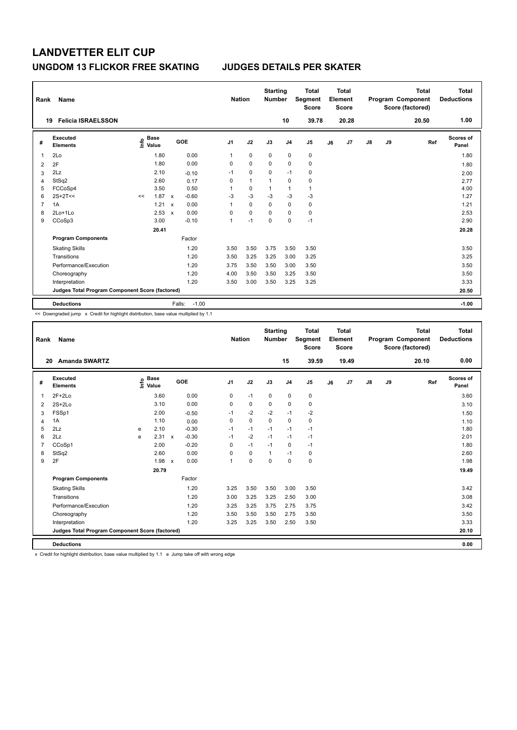| Rank | Name                                            |                              |             |                           |                   | <b>Nation</b>  |              | <b>Starting</b><br><b>Number</b> |                | <b>Total</b><br>Segment<br><b>Score</b> |    | <b>Total</b><br>Element<br><b>Score</b> |               |    | <b>Total</b><br>Program Component<br>Score (factored) | <b>Total</b><br><b>Deductions</b> |
|------|-------------------------------------------------|------------------------------|-------------|---------------------------|-------------------|----------------|--------------|----------------------------------|----------------|-----------------------------------------|----|-----------------------------------------|---------------|----|-------------------------------------------------------|-----------------------------------|
| 19   | <b>Felicia ISRAELSSON</b>                       |                              |             |                           |                   |                |              |                                  | 10             | 39.78                                   |    | 20.28                                   |               |    | 20.50                                                 | 1.00                              |
| #    | <b>Executed</b><br><b>Elements</b>              | e <sup>Base</sup><br>⊆ Value | <b>Base</b> |                           | GOE               | J <sub>1</sub> | J2           | J3                               | J <sub>4</sub> | J <sub>5</sub>                          | J6 | J7                                      | $\mathsf{J}8$ | J9 | Ref                                                   | Scores of<br>Panel                |
| 1    | 2Lo                                             |                              | 1.80        |                           | 0.00              | 1              | $\mathbf 0$  | $\mathbf 0$                      | $\pmb{0}$      | $\pmb{0}$                               |    |                                         |               |    |                                                       | 1.80                              |
| 2    | 2F                                              |                              | 1.80        |                           | 0.00              | 0              | $\Omega$     | $\Omega$                         | $\mathbf 0$    | $\mathbf 0$                             |    |                                         |               |    |                                                       | 1.80                              |
| 3    | 2Lz                                             |                              | 2.10        |                           | $-0.10$           | $-1$           | 0            | 0                                | $-1$           | 0                                       |    |                                         |               |    |                                                       | 2.00                              |
| 4    | StSq2                                           |                              | 2.60        |                           | 0.17              | 0              | $\mathbf{1}$ | 1                                | $\mathbf 0$    | 0                                       |    |                                         |               |    |                                                       | 2.77                              |
| 5    | FCCoSp4                                         |                              | 3.50        |                           | 0.50              | 1              | $\mathbf 0$  | $\overline{1}$                   | $\overline{1}$ | $\mathbf{1}$                            |    |                                         |               |    |                                                       | 4.00                              |
| 6    | $2S+2T<<$                                       | <<                           | 1.87        | $\mathsf{x}$              | $-0.60$           | $-3$           | $-3$         | $-3$                             | $-3$           | $-3$                                    |    |                                         |               |    |                                                       | 1.27                              |
| 7    | 1A                                              |                              | 1.21        | $\mathbf x$               | 0.00              | 1              | $\Omega$     | 0                                | 0              | 0                                       |    |                                         |               |    |                                                       | 1.21                              |
| 8    | 2Lo+1Lo                                         |                              | 2.53        | $\boldsymbol{\mathsf{x}}$ | 0.00              | 0              | $\mathbf 0$  | 0                                | $\mathbf 0$    | $\pmb{0}$                               |    |                                         |               |    |                                                       | 2.53                              |
| 9    | CCoSp3                                          |                              | 3.00        |                           | $-0.10$           | 1              | $-1$         | 0                                | $\mathbf 0$    | $-1$                                    |    |                                         |               |    |                                                       | 2.90                              |
|      |                                                 |                              | 20.41       |                           |                   |                |              |                                  |                |                                         |    |                                         |               |    |                                                       | 20.28                             |
|      | <b>Program Components</b>                       |                              |             |                           | Factor            |                |              |                                  |                |                                         |    |                                         |               |    |                                                       |                                   |
|      | <b>Skating Skills</b>                           |                              |             |                           | 1.20              | 3.50           | 3.50         | 3.75                             | 3.50           | 3.50                                    |    |                                         |               |    |                                                       | 3.50                              |
|      | Transitions                                     |                              |             |                           | 1.20              | 3.50           | 3.25         | 3.25                             | 3.00           | 3.25                                    |    |                                         |               |    |                                                       | 3.25                              |
|      | Performance/Execution                           |                              |             |                           | 1.20              | 3.75           | 3.50         | 3.50                             | 3.00           | 3.50                                    |    |                                         |               |    |                                                       | 3.50                              |
|      | Choreography                                    |                              |             |                           | 1.20              | 4.00           | 3.50         | 3.50                             | 3.25           | 3.50                                    |    |                                         |               |    |                                                       | 3.50                              |
|      | Interpretation                                  |                              |             |                           | 1.20              | 3.50           | 3.00         | 3.50                             | 3.25           | 3.25                                    |    |                                         |               |    |                                                       | 3.33                              |
|      | Judges Total Program Component Score (factored) |                              |             |                           |                   |                |              |                                  |                |                                         |    |                                         |               |    |                                                       | 20.50                             |
|      | <b>Deductions</b>                               |                              |             |                           | $-1.00$<br>Falls: |                |              |                                  |                |                                         |    |                                         |               |    |                                                       | $-1.00$                           |

<< Downgraded jump x Credit for highlight distribution, base value multiplied by 1.1

| Rank           | Name                                            |   |                                  |                           |         |                | <b>Nation</b> | <b>Starting</b><br><b>Number</b> |                | <b>Total</b><br>Segment<br><b>Score</b> |    | <b>Total</b><br>Element<br><b>Score</b> |               |    | <b>Total</b><br>Program Component<br>Score (factored) | <b>Total</b><br><b>Deductions</b> |
|----------------|-------------------------------------------------|---|----------------------------------|---------------------------|---------|----------------|---------------|----------------------------------|----------------|-----------------------------------------|----|-----------------------------------------|---------------|----|-------------------------------------------------------|-----------------------------------|
|                | <b>Amanda SWARTZ</b><br>20                      |   |                                  |                           |         |                |               |                                  | 15             | 39.59                                   |    | 19.49                                   |               |    | 20.10                                                 | 0.00                              |
| #              | Executed<br><b>Elements</b>                     |   | <b>Base</b><br>e Base<br>E Value |                           | GOE     | J <sub>1</sub> | J2            | J3                               | J <sub>4</sub> | J <sub>5</sub>                          | J6 | J7                                      | $\mathsf{J}8$ | J9 | Ref                                                   | <b>Scores of</b><br>Panel         |
| 1              | $2F+2Lo$                                        |   | 3.60                             |                           | 0.00    | 0              | $-1$          | $\mathbf 0$                      | $\mathbf 0$    | 0                                       |    |                                         |               |    |                                                       | 3.60                              |
| 2              | $2S+2Lo$                                        |   | 3.10                             |                           | 0.00    | 0              | $\mathbf 0$   | $\mathbf 0$                      | $\mathbf 0$    | 0                                       |    |                                         |               |    |                                                       | 3.10                              |
| 3              | FSSp1                                           |   | 2.00                             |                           | $-0.50$ | $-1$           | $-2$          | $-2$                             | $-1$           | $-2$                                    |    |                                         |               |    |                                                       | 1.50                              |
| 4              | 1A                                              |   | 1.10                             |                           | 0.00    | 0              | $\mathbf 0$   | $\Omega$                         | $\Omega$       | $\mathbf 0$                             |    |                                         |               |    |                                                       | 1.10                              |
| 5              | 2Lz                                             | e | 2.10                             |                           | $-0.30$ | $-1$           | $-1$          | $-1$                             | $-1$           | $-1$                                    |    |                                         |               |    |                                                       | 1.80                              |
| 6              | 2Lz                                             | e | 2.31                             | $\mathsf{x}$              | $-0.30$ | $-1$           | $-2$          | $-1$                             | $-1$           | $-1$                                    |    |                                         |               |    |                                                       | 2.01                              |
| $\overline{7}$ | CCoSp1                                          |   | 2.00                             |                           | $-0.20$ | 0              | $-1$          | $-1$                             | $\mathbf 0$    | $-1$                                    |    |                                         |               |    |                                                       | 1.80                              |
| 8              | StSq2                                           |   | 2.60                             |                           | 0.00    | $\Omega$       | $\mathbf 0$   | $\mathbf{1}$                     | $-1$           | 0                                       |    |                                         |               |    |                                                       | 2.60                              |
| 9              | 2F                                              |   | 1.98                             | $\boldsymbol{\mathsf{x}}$ | 0.00    | 1              | $\mathbf 0$   | $\Omega$                         | $\mathbf 0$    | $\mathbf 0$                             |    |                                         |               |    |                                                       | 1.98                              |
|                |                                                 |   | 20.79                            |                           |         |                |               |                                  |                |                                         |    |                                         |               |    |                                                       | 19.49                             |
|                | <b>Program Components</b>                       |   |                                  |                           | Factor  |                |               |                                  |                |                                         |    |                                         |               |    |                                                       |                                   |
|                | <b>Skating Skills</b>                           |   |                                  |                           | 1.20    | 3.25           | 3.50          | 3.50                             | 3.00           | 3.50                                    |    |                                         |               |    |                                                       | 3.42                              |
|                | Transitions                                     |   |                                  |                           | 1.20    | 3.00           | 3.25          | 3.25                             | 2.50           | 3.00                                    |    |                                         |               |    |                                                       | 3.08                              |
|                | Performance/Execution                           |   |                                  |                           | 1.20    | 3.25           | 3.25          | 3.75                             | 2.75           | 3.75                                    |    |                                         |               |    |                                                       | 3.42                              |
|                | Choreography                                    |   |                                  |                           | 1.20    | 3.50           | 3.50          | 3.50                             | 2.75           | 3.50                                    |    |                                         |               |    |                                                       | 3.50                              |
|                | Interpretation                                  |   |                                  |                           | 1.20    | 3.25           | 3.25          | 3.50                             | 2.50           | 3.50                                    |    |                                         |               |    |                                                       | 3.33                              |
|                | Judges Total Program Component Score (factored) |   |                                  |                           |         |                |               |                                  |                |                                         |    |                                         |               |    |                                                       | 20.10                             |
|                | <b>Deductions</b>                               |   |                                  |                           |         |                |               |                                  |                |                                         |    |                                         |               |    |                                                       | 0.00                              |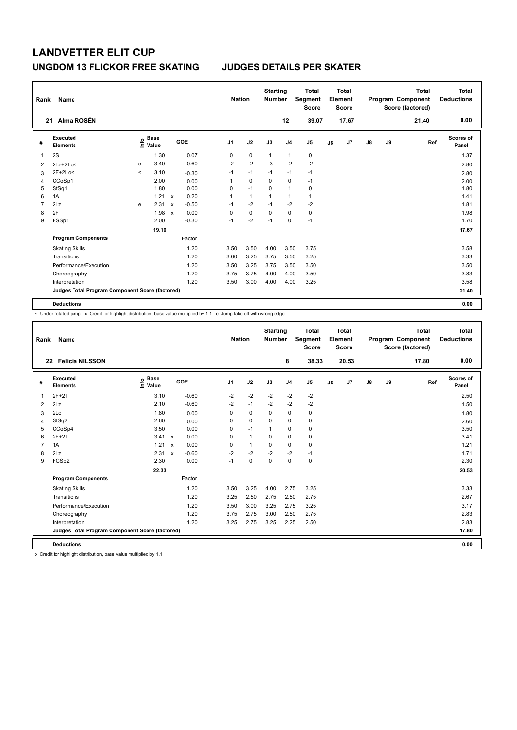| Rank | Name                                            |         |                                  |                           |         |                | <b>Nation</b> | <b>Starting</b><br><b>Number</b> |                | <b>Total</b><br>Segment<br><b>Score</b> |    | <b>Total</b><br>Element<br><b>Score</b> |    |    | <b>Total</b><br>Program Component<br>Score (factored) | <b>Total</b><br><b>Deductions</b> |
|------|-------------------------------------------------|---------|----------------------------------|---------------------------|---------|----------------|---------------|----------------------------------|----------------|-----------------------------------------|----|-----------------------------------------|----|----|-------------------------------------------------------|-----------------------------------|
| 21   | Alma ROSÉN                                      |         |                                  |                           |         |                |               |                                  | 12             | 39.07                                   |    | 17.67                                   |    |    | 21.40                                                 | 0.00                              |
| #    | <b>Executed</b><br><b>Elements</b>              |         | <b>Base</b><br>e Base<br>⊆ Value |                           | GOE     | J <sub>1</sub> | J2            | J3                               | J <sub>4</sub> | J <sub>5</sub>                          | J6 | J7                                      | J8 | J9 | Ref                                                   | <b>Scores of</b><br>Panel         |
| 1    | 2S                                              |         | 1.30                             |                           | 0.07    | 0              | 0             | $\mathbf{1}$                     | $\mathbf{1}$   | 0                                       |    |                                         |    |    |                                                       | 1.37                              |
| 2    | $2Lz+2Lo<$                                      | e       | 3.40                             |                           | $-0.60$ | $-2$           | $-2$          | $-3$                             | $-2$           | $-2$                                    |    |                                         |    |    |                                                       | 2.80                              |
| 3    | 2F+2Lo<                                         | $\prec$ | 3.10                             |                           | $-0.30$ | $-1$           | $-1$          | $-1$                             | $-1$           | $-1$                                    |    |                                         |    |    |                                                       | 2.80                              |
| 4    | CCoSp1                                          |         | 2.00                             |                           | 0.00    | 1              | 0             | $\Omega$                         | 0              | $-1$                                    |    |                                         |    |    |                                                       | 2.00                              |
| 5    | StSq1                                           |         | 1.80                             |                           | 0.00    | 0              | $-1$          | $\Omega$                         | $\overline{1}$ | $\mathbf 0$                             |    |                                         |    |    |                                                       | 1.80                              |
| 6    | 1A                                              |         | 1.21                             | $\mathsf{x}$              | 0.20    | 1              | $\mathbf{1}$  | 1                                | $\mathbf{1}$   | $\mathbf{1}$                            |    |                                         |    |    |                                                       | 1.41                              |
| 7    | 2Lz                                             | e       | 2.31                             | $\boldsymbol{\mathsf{x}}$ | $-0.50$ | $-1$           | $-2$          | $-1$                             | $-2$           | $-2$                                    |    |                                         |    |    |                                                       | 1.81                              |
| 8    | 2F                                              |         | 1.98                             | $\mathbf{x}$              | 0.00    | 0              | $\mathbf 0$   | $\Omega$                         | $\Omega$       | $\mathbf 0$                             |    |                                         |    |    |                                                       | 1.98                              |
| 9    | FSSp1                                           |         | 2.00                             |                           | $-0.30$ | $-1$           | $-2$          | $-1$                             | $\mathbf 0$    | $-1$                                    |    |                                         |    |    |                                                       | 1.70                              |
|      |                                                 |         | 19.10                            |                           |         |                |               |                                  |                |                                         |    |                                         |    |    |                                                       | 17.67                             |
|      | <b>Program Components</b>                       |         |                                  |                           | Factor  |                |               |                                  |                |                                         |    |                                         |    |    |                                                       |                                   |
|      | <b>Skating Skills</b>                           |         |                                  |                           | 1.20    | 3.50           | 3.50          | 4.00                             | 3.50           | 3.75                                    |    |                                         |    |    |                                                       | 3.58                              |
|      | Transitions                                     |         |                                  |                           | 1.20    | 3.00           | 3.25          | 3.75                             | 3.50           | 3.25                                    |    |                                         |    |    |                                                       | 3.33                              |
|      | Performance/Execution                           |         |                                  |                           | 1.20    | 3.50           | 3.25          | 3.75                             | 3.50           | 3.50                                    |    |                                         |    |    |                                                       | 3.50                              |
|      | Choreography                                    |         |                                  |                           | 1.20    | 3.75           | 3.75          | 4.00                             | 4.00           | 3.50                                    |    |                                         |    |    |                                                       | 3.83                              |
|      | Interpretation                                  |         |                                  |                           | 1.20    | 3.50           | 3.00          | 4.00                             | 4.00           | 3.25                                    |    |                                         |    |    |                                                       | 3.58                              |
|      | Judges Total Program Component Score (factored) |         |                                  |                           |         |                |               |                                  |                |                                         |    |                                         |    |    |                                                       | 21.40                             |
|      | <b>Deductions</b>                               |         |                                  |                           |         |                |               |                                  |                |                                         |    |                                         |    |    |                                                       | 0.00                              |

 $\leq$  Under-rotated jump  $\geq$  Credit for highlight distribution, base value multiplied by 1.1 e Jump take off with wrong edge

| Rank           | Name                                            |                              |              |         |                | <b>Nation</b> | <b>Starting</b><br><b>Number</b> |                | <b>Total</b><br>Segment<br><b>Score</b> |    | <b>Total</b><br>Element<br><b>Score</b> |               |    | <b>Total</b><br>Program Component<br>Score (factored) | <b>Total</b><br><b>Deductions</b> |
|----------------|-------------------------------------------------|------------------------------|--------------|---------|----------------|---------------|----------------------------------|----------------|-----------------------------------------|----|-----------------------------------------|---------------|----|-------------------------------------------------------|-----------------------------------|
|                | <b>Felicia NILSSON</b><br>22                    |                              |              |         |                |               |                                  | 8              | 38.33                                   |    | 20.53                                   |               |    | 17.80                                                 | 0.00                              |
| #              | Executed<br><b>Elements</b>                     | <b>Base</b><br>lnfo<br>Value |              | GOE     | J <sub>1</sub> | J2            | J3                               | J <sub>4</sub> | J <sub>5</sub>                          | J6 | J7                                      | $\mathsf{J}8$ | J9 | Ref                                                   | Scores of<br>Panel                |
| 1              | $2F+2T$                                         | 3.10                         |              | $-0.60$ | $-2$           | $-2$          | $-2$                             | $-2$           | $-2$                                    |    |                                         |               |    |                                                       | 2.50                              |
| 2              | 2Lz                                             | 2.10                         |              | $-0.60$ | $-2$           | $-1$          | $-2$                             | $-2$           | $-2$                                    |    |                                         |               |    |                                                       | 1.50                              |
| 3              | 2Lo                                             | 1.80                         |              | 0.00    | 0              | 0             | 0                                | 0              | 0                                       |    |                                         |               |    |                                                       | 1.80                              |
| 4              | StSq2                                           | 2.60                         |              | 0.00    | 0              | $\mathbf 0$   | $\mathbf 0$                      | $\mathbf 0$    | $\mathbf 0$                             |    |                                         |               |    |                                                       | 2.60                              |
| 5              | CCoSp4                                          | 3.50                         |              | 0.00    | 0              | $-1$          |                                  | 0              | $\pmb{0}$                               |    |                                         |               |    |                                                       | 3.50                              |
| 6              | $2F+2T$                                         | 3.41                         | $\mathsf{x}$ | 0.00    | 0              | $\mathbf{1}$  | 0                                | 0              | $\pmb{0}$                               |    |                                         |               |    |                                                       | 3.41                              |
| $\overline{7}$ | 1A                                              | 1.21                         | $\mathsf{x}$ | 0.00    | 0              | $\mathbf{1}$  | 0                                | 0              | 0                                       |    |                                         |               |    |                                                       | 1.21                              |
| 8              | 2Lz                                             | 2.31                         | $\mathbf{x}$ | $-0.60$ | $-2$           | $-2$          | $-2$                             | $-2$           | $-1$                                    |    |                                         |               |    |                                                       | 1.71                              |
| 9              | FCSp2                                           | 2.30                         |              | 0.00    | $-1$           | $\pmb{0}$     | $\mathbf 0$                      | 0              | $\pmb{0}$                               |    |                                         |               |    |                                                       | 2.30                              |
|                |                                                 | 22.33                        |              |         |                |               |                                  |                |                                         |    |                                         |               |    |                                                       | 20.53                             |
|                | <b>Program Components</b>                       |                              |              | Factor  |                |               |                                  |                |                                         |    |                                         |               |    |                                                       |                                   |
|                | <b>Skating Skills</b>                           |                              |              | 1.20    | 3.50           | 3.25          | 4.00                             | 2.75           | 3.25                                    |    |                                         |               |    |                                                       | 3.33                              |
|                | Transitions                                     |                              |              | 1.20    | 3.25           | 2.50          | 2.75                             | 2.50           | 2.75                                    |    |                                         |               |    |                                                       | 2.67                              |
|                | Performance/Execution                           |                              |              | 1.20    | 3.50           | 3.00          | 3.25                             | 2.75           | 3.25                                    |    |                                         |               |    |                                                       | 3.17                              |
|                | Choreography                                    |                              |              | 1.20    | 3.75           | 2.75          | 3.00                             | 2.50           | 2.75                                    |    |                                         |               |    |                                                       | 2.83                              |
|                | Interpretation                                  |                              |              | 1.20    | 3.25           | 2.75          | 3.25                             | 2.25           | 2.50                                    |    |                                         |               |    |                                                       | 2.83                              |
|                | Judges Total Program Component Score (factored) |                              |              |         |                |               |                                  |                |                                         |    |                                         |               |    |                                                       | 17.80                             |
|                | <b>Deductions</b>                               |                              |              |         |                |               |                                  |                |                                         |    |                                         |               |    |                                                       | 0.00                              |

x Credit for highlight distribution, base value multiplied by 1.1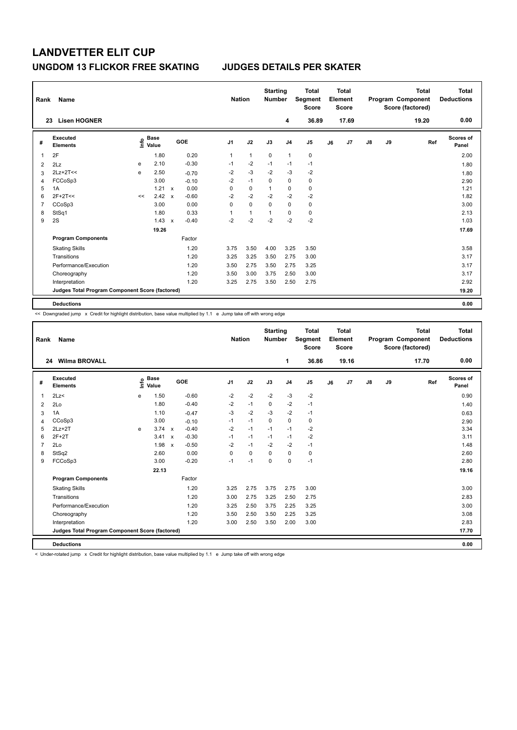| Rank           | Name                                            |    |                                  |              |            | <b>Nation</b>  |              | <b>Starting</b><br><b>Number</b> |                | Total<br>Segment<br><b>Score</b> |    | <b>Total</b><br>Element<br><b>Score</b> |               |    | <b>Total</b><br>Program Component<br>Score (factored) | Total<br><b>Deductions</b> |
|----------------|-------------------------------------------------|----|----------------------------------|--------------|------------|----------------|--------------|----------------------------------|----------------|----------------------------------|----|-----------------------------------------|---------------|----|-------------------------------------------------------|----------------------------|
|                | <b>Lisen HOGNER</b><br>23                       |    |                                  |              |            |                |              |                                  | 4              | 36.89                            |    | 17.69                                   |               |    | 19.20                                                 | 0.00                       |
| #              | Executed<br><b>Elements</b>                     |    | <b>Base</b><br>e Base<br>⊆ Value |              | <b>GOE</b> | J <sub>1</sub> | J2           | J3                               | J <sub>4</sub> | J <sub>5</sub>                   | J6 | J7                                      | $\mathsf{J}8$ | J9 | Ref                                                   | <b>Scores of</b><br>Panel  |
|                | 2F                                              |    | 1.80                             |              | 0.20       | 1              | $\mathbf{1}$ | 0                                | $\overline{1}$ | 0                                |    |                                         |               |    |                                                       | 2.00                       |
| $\overline{2}$ | 2Lz                                             | e  | 2.10                             |              | $-0.30$    | $-1$           | $-2$         | $-1$                             | $-1$           | $-1$                             |    |                                         |               |    |                                                       | 1.80                       |
| 3              | $2Lz+2T<<$                                      | e  | 2.50                             |              | $-0.70$    | $-2$           | $-3$         | $-2$                             | $-3$           | -2                               |    |                                         |               |    |                                                       | 1.80                       |
| 4              | FCCoSp3                                         |    | 3.00                             |              | $-0.10$    | $-2$           | $-1$         | $\mathbf 0$                      | $\mathbf 0$    | $\pmb{0}$                        |    |                                         |               |    |                                                       | 2.90                       |
| 5              | 1A                                              |    | 1.21                             | $\mathsf{x}$ | 0.00       | 0              | $\mathbf 0$  | 1                                | 0              | $\mathbf 0$                      |    |                                         |               |    |                                                       | 1.21                       |
| 6              | $2F+2T<<$                                       | << | 2.42                             | $\mathsf{x}$ | $-0.60$    | $-2$           | $-2$         | $-2$                             | $-2$           | $-2$                             |    |                                         |               |    |                                                       | 1.82                       |
| 7              | CCoSp3                                          |    | 3.00                             |              | 0.00       | 0              | $\mathbf 0$  | $\Omega$                         | $\mathbf 0$    | 0                                |    |                                         |               |    |                                                       | 3.00                       |
| 8              | StSq1                                           |    | 1.80                             |              | 0.33       | 1              | 1            | 1                                | 0              | 0                                |    |                                         |               |    |                                                       | 2.13                       |
| 9              | 2S                                              |    | 1.43                             | $\mathsf{x}$ | $-0.40$    | $-2$           | $-2$         | $-2$                             | $-2$           | $-2$                             |    |                                         |               |    |                                                       | 1.03                       |
|                |                                                 |    | 19.26                            |              |            |                |              |                                  |                |                                  |    |                                         |               |    |                                                       | 17.69                      |
|                | <b>Program Components</b>                       |    |                                  |              | Factor     |                |              |                                  |                |                                  |    |                                         |               |    |                                                       |                            |
|                | <b>Skating Skills</b>                           |    |                                  |              | 1.20       | 3.75           | 3.50         | 4.00                             | 3.25           | 3.50                             |    |                                         |               |    |                                                       | 3.58                       |
|                | Transitions                                     |    |                                  |              | 1.20       | 3.25           | 3.25         | 3.50                             | 2.75           | 3.00                             |    |                                         |               |    |                                                       | 3.17                       |
|                | Performance/Execution                           |    |                                  |              | 1.20       | 3.50           | 2.75         | 3.50                             | 2.75           | 3.25                             |    |                                         |               |    |                                                       | 3.17                       |
|                | Choreography                                    |    |                                  |              | 1.20       | 3.50           | 3.00         | 3.75                             | 2.50           | 3.00                             |    |                                         |               |    |                                                       | 3.17                       |
|                | Interpretation                                  |    |                                  |              | 1.20       | 3.25           | 2.75         | 3.50                             | 2.50           | 2.75                             |    |                                         |               |    |                                                       | 2.92                       |
|                | Judges Total Program Component Score (factored) |    |                                  |              |            |                |              |                                  |                |                                  |    |                                         |               |    |                                                       | 19.20                      |
|                | <b>Deductions</b>                               |    |                                  |              |            |                |              |                                  |                |                                  |    |                                         |               |    |                                                       | 0.00                       |

<< Downgraded jump x Credit for highlight distribution, base value multiplied by 1.1 e Jump take off with wrong edge

| Rank           | Name                                            |      |                      |                           |         |                | <b>Nation</b> |      | <b>Starting</b><br><b>Number</b> |                | <b>Total</b><br><b>Segment</b><br><b>Score</b> |    | <b>Total</b><br>Element<br><b>Score</b> |               |    | <b>Total</b><br>Program Component<br>Score (factored) | Total<br><b>Deductions</b> |
|----------------|-------------------------------------------------|------|----------------------|---------------------------|---------|----------------|---------------|------|----------------------------------|----------------|------------------------------------------------|----|-----------------------------------------|---------------|----|-------------------------------------------------------|----------------------------|
| 24             | <b>Wilma BROVALL</b>                            |      |                      |                           |         |                |               |      |                                  | 1              | 36.86                                          |    | 19.16                                   |               |    | 17.70                                                 | 0.00                       |
| #              | <b>Executed</b><br><b>Elements</b>              | ١nf٥ | <b>Base</b><br>Value |                           | GOE     | J <sub>1</sub> | J2            |      | J3                               | J <sub>4</sub> | J <sub>5</sub>                                 | J6 | J7                                      | $\mathsf{J}8$ | J9 | Ref                                                   | <b>Scores of</b><br>Panel  |
| 1              | 2Lz                                             | e    | 1.50                 |                           | $-0.60$ | $-2$           |               | $-2$ | $-2$                             | $-3$           | $-2$                                           |    |                                         |               |    |                                                       | 0.90                       |
| $\overline{2}$ | 2Lo                                             |      | 1.80                 |                           | $-0.40$ | $-2$           | $-1$          |      | $\Omega$                         | $-2$           | $-1$                                           |    |                                         |               |    |                                                       | 1.40                       |
| 3              | 1A                                              |      | 1.10                 |                           | $-0.47$ | $-3$           |               | $-2$ | $-3$                             | $-2$           | $-1$                                           |    |                                         |               |    |                                                       | 0.63                       |
| 4              | CCoSp3                                          |      | 3.00                 |                           | $-0.10$ | $-1$           | $-1$          |      | $\Omega$                         | $\mathbf 0$    | 0                                              |    |                                         |               |    |                                                       | 2.90                       |
| 5              | $2Lz+2T$                                        | e    | 3.74                 | $\mathbf{x}$              | $-0.40$ | $-2$           | $-1$          |      | $-1$                             | $-1$           | $-2$                                           |    |                                         |               |    |                                                       | 3.34                       |
| 6              | $2F+2T$                                         |      | 3.41                 | $\boldsymbol{\mathsf{x}}$ | $-0.30$ | $-1$           | $-1$          |      | $-1$                             | $-1$           | $-2$                                           |    |                                         |               |    |                                                       | 3.11                       |
| $\overline{7}$ | 2Lo                                             |      | 1.98                 | $\boldsymbol{\mathsf{x}}$ | $-0.50$ | $-2$           | $-1$          |      | $-2$                             | $-2$           | $-1$                                           |    |                                         |               |    |                                                       | 1.48                       |
| 8              | StSq2                                           |      | 2.60                 |                           | 0.00    | 0              | 0             |      | 0                                | $\mathbf 0$    | 0                                              |    |                                         |               |    |                                                       | 2.60                       |
| 9              | FCCoSp3                                         |      | 3.00                 |                           | $-0.20$ | $-1$           | $-1$          |      | $\mathbf 0$                      | $\mathbf 0$    | $-1$                                           |    |                                         |               |    |                                                       | 2.80                       |
|                |                                                 |      | 22.13                |                           |         |                |               |      |                                  |                |                                                |    |                                         |               |    |                                                       | 19.16                      |
|                | <b>Program Components</b>                       |      |                      |                           | Factor  |                |               |      |                                  |                |                                                |    |                                         |               |    |                                                       |                            |
|                | <b>Skating Skills</b>                           |      |                      |                           | 1.20    | 3.25           |               | 2.75 | 3.75                             | 2.75           | 3.00                                           |    |                                         |               |    |                                                       | 3.00                       |
|                | Transitions                                     |      |                      |                           | 1.20    | 3.00           |               | 2.75 | 3.25                             | 2.50           | 2.75                                           |    |                                         |               |    |                                                       | 2.83                       |
|                | Performance/Execution                           |      |                      |                           | 1.20    | 3.25           |               | 2.50 | 3.75                             | 2.25           | 3.25                                           |    |                                         |               |    |                                                       | 3.00                       |
|                | Choreography                                    |      |                      |                           | 1.20    | 3.50           |               | 2.50 | 3.50                             | 2.25           | 3.25                                           |    |                                         |               |    |                                                       | 3.08                       |
|                | Interpretation                                  |      |                      |                           | 1.20    | 3.00           |               | 2.50 | 3.50                             | 2.00           | 3.00                                           |    |                                         |               |    |                                                       | 2.83                       |
|                | Judges Total Program Component Score (factored) |      |                      |                           |         |                |               |      |                                  |                |                                                |    |                                         |               |    |                                                       | 17.70                      |
|                | <b>Deductions</b>                               |      |                      |                           |         |                |               |      |                                  |                |                                                |    |                                         |               |    |                                                       | 0.00                       |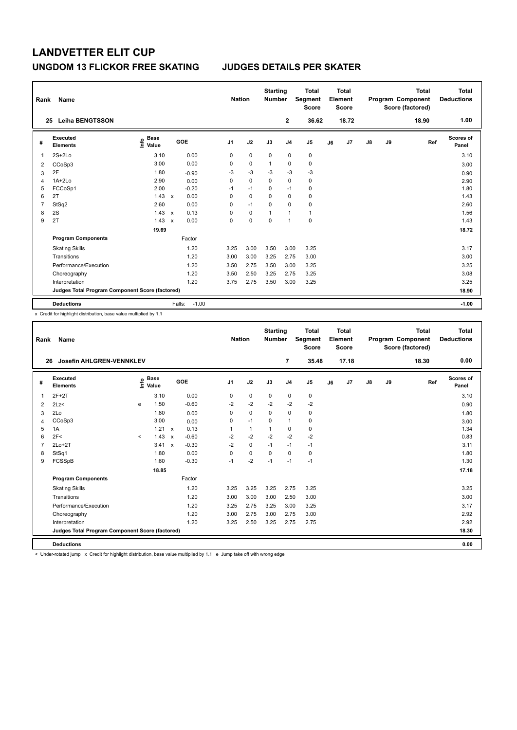| Rank | Name                                            |                                  |              |         | <b>Nation</b>  |             | <b>Starting</b><br><b>Number</b> |                | <b>Total</b><br>Segment<br><b>Score</b> |    | <b>Total</b><br>Element<br><b>Score</b> |               |    | <b>Total</b><br>Program Component<br>Score (factored) | Total<br><b>Deductions</b> |
|------|-------------------------------------------------|----------------------------------|--------------|---------|----------------|-------------|----------------------------------|----------------|-----------------------------------------|----|-----------------------------------------|---------------|----|-------------------------------------------------------|----------------------------|
|      | <b>Leiha BENGTSSON</b><br>25                    |                                  |              |         |                |             |                                  | $\mathbf{2}$   | 36.62                                   |    | 18.72                                   |               |    | 18.90                                                 | 1.00                       |
| #    | Executed<br><b>Elements</b>                     | <b>Base</b><br>e Base<br>⊆ Value |              | GOE     | J <sub>1</sub> | J2          | J3                               | J <sub>4</sub> | J <sub>5</sub>                          | J6 | J7                                      | $\mathsf{J}8$ | J9 | Ref                                                   | <b>Scores of</b><br>Panel  |
| -1   | $2S+2Lo$                                        | 3.10                             |              | 0.00    | 0              | $\mathbf 0$ | 0                                | 0              | 0                                       |    |                                         |               |    |                                                       | 3.10                       |
| 2    | CCoSp3                                          | 3.00                             |              | 0.00    | 0              | $\mathbf 0$ | $\mathbf{1}$                     | $\mathbf 0$    | $\pmb{0}$                               |    |                                         |               |    |                                                       | 3.00                       |
| 3    | 2F                                              | 1.80                             |              | $-0.90$ | $-3$           | $-3$        | $-3$                             | $-3$           | $-3$                                    |    |                                         |               |    |                                                       | 0.90                       |
| 4    | $1A+2Lo$                                        | 2.90                             |              | 0.00    | 0              | $\mathbf 0$ | $\mathbf 0$                      | $\mathbf 0$    | $\pmb{0}$                               |    |                                         |               |    |                                                       | 2.90                       |
| 5    | FCCoSp1                                         | 2.00                             |              | $-0.20$ | $-1$           | $-1$        | $\Omega$                         | $-1$           | 0                                       |    |                                         |               |    |                                                       | 1.80                       |
| 6    | 2T                                              | 1.43                             | $\mathsf{x}$ | 0.00    | 0              | $\mathbf 0$ | 0                                | 0              | 0                                       |    |                                         |               |    |                                                       | 1.43                       |
| 7    | StSq2                                           | 2.60                             |              | 0.00    | 0              | $-1$        | $\mathbf 0$                      | $\mathbf 0$    | $\mathbf 0$                             |    |                                         |               |    |                                                       | 2.60                       |
| 8    | 2S                                              | 1.43                             | $\mathsf{x}$ | 0.13    | 0              | 0           | 1                                | $\overline{1}$ | $\mathbf{1}$                            |    |                                         |               |    |                                                       | 1.56                       |
| 9    | 2T                                              | 1.43                             | $\mathsf{x}$ | 0.00    | 0              | 0           | $\mathbf 0$                      | $\overline{1}$ | $\pmb{0}$                               |    |                                         |               |    |                                                       | 1.43                       |
|      |                                                 | 19.69                            |              |         |                |             |                                  |                |                                         |    |                                         |               |    |                                                       | 18.72                      |
|      | <b>Program Components</b>                       |                                  |              | Factor  |                |             |                                  |                |                                         |    |                                         |               |    |                                                       |                            |
|      | <b>Skating Skills</b>                           |                                  |              | 1.20    | 3.25           | 3.00        | 3.50                             | 3.00           | 3.25                                    |    |                                         |               |    |                                                       | 3.17                       |
|      | Transitions                                     |                                  |              | 1.20    | 3.00           | 3.00        | 3.25                             | 2.75           | 3.00                                    |    |                                         |               |    |                                                       | 3.00                       |
|      | Performance/Execution                           |                                  |              | 1.20    | 3.50           | 2.75        | 3.50                             | 3.00           | 3.25                                    |    |                                         |               |    |                                                       | 3.25                       |
|      | Choreography                                    |                                  |              | 1.20    | 3.50           | 2.50        | 3.25                             | 2.75           | 3.25                                    |    |                                         |               |    |                                                       | 3.08                       |
|      | Interpretation                                  |                                  |              | 1.20    | 3.75           | 2.75        | 3.50                             | 3.00           | 3.25                                    |    |                                         |               |    |                                                       | 3.25                       |
|      | Judges Total Program Component Score (factored) |                                  |              |         |                |             |                                  |                |                                         |    |                                         |               |    |                                                       | 18.90                      |
|      | <b>Deductions</b>                               |                                  | Falls:       | $-1.00$ |                |             |                                  |                |                                         |    |                                         |               |    |                                                       | $-1.00$                    |

x Credit for highlight distribution, base value multiplied by 1.1

| Rank           | Name                                            |         |                                  |                           |         |                | <b>Nation</b> | <b>Starting</b><br><b>Number</b> |                | <b>Total</b><br>Segment<br><b>Score</b> |    | Total<br>Element<br><b>Score</b> |               |    | <b>Total</b><br>Program Component<br>Score (factored) | Total<br><b>Deductions</b> |
|----------------|-------------------------------------------------|---------|----------------------------------|---------------------------|---------|----------------|---------------|----------------------------------|----------------|-----------------------------------------|----|----------------------------------|---------------|----|-------------------------------------------------------|----------------------------|
| 26             | Josefin AHLGREN-VENNKLEV                        |         |                                  |                           |         |                |               |                                  | 7              | 35.48                                   |    | 17.18                            |               |    | 18.30                                                 | 0.00                       |
| #              | Executed<br><b>Elements</b>                     |         | <b>Base</b><br>e Base<br>⊆ Value |                           | GOE     | J <sub>1</sub> | J2            | J3                               | J <sub>4</sub> | J <sub>5</sub>                          | J6 | J7                               | $\mathsf{J}8$ | J9 | Ref                                                   | Scores of<br>Panel         |
| $\mathbf{1}$   | $2F+2T$                                         |         | 3.10                             |                           | 0.00    | 0              | $\mathbf 0$   | $\mathbf 0$                      | $\mathbf 0$    | $\mathbf 0$                             |    |                                  |               |    |                                                       | 3.10                       |
| 2              | 2Lz<                                            | e       | 1.50                             |                           | $-0.60$ | $-2$           | $-2$          | $-2$                             | $-2$           | $-2$                                    |    |                                  |               |    |                                                       | 0.90                       |
| 3              | 2Lo                                             |         | 1.80                             |                           | 0.00    | 0              | $\mathbf 0$   | $\Omega$                         | $\mathbf 0$    | $\mathbf 0$                             |    |                                  |               |    |                                                       | 1.80                       |
| 4              | CCoSp3                                          |         | 3.00                             |                           | 0.00    | 0              | $-1$          | $\Omega$                         | $\mathbf{1}$   | $\mathbf 0$                             |    |                                  |               |    |                                                       | 3.00                       |
| 5              | 1A                                              |         | 1.21                             | $\mathsf{x}$              | 0.13    | 1              | $\mathbf{1}$  | $\mathbf{1}$                     | $\mathbf 0$    | 0                                       |    |                                  |               |    |                                                       | 1.34                       |
| 6              | 2F<                                             | $\prec$ | 1.43                             | $\boldsymbol{\mathsf{x}}$ | $-0.60$ | $-2$           | $-2$          | $-2$                             | $-2$           | $-2$                                    |    |                                  |               |    |                                                       | 0.83                       |
| $\overline{7}$ | $2Lo+2T$                                        |         | 3.41                             | $\boldsymbol{\mathsf{x}}$ | $-0.30$ | $-2$           | $\mathbf 0$   | $-1$                             | $-1$           | $-1$                                    |    |                                  |               |    |                                                       | 3.11                       |
| 8              | StSq1                                           |         | 1.80                             |                           | 0.00    | $\Omega$       | $\mathbf 0$   | $\Omega$                         | $\Omega$       | 0                                       |    |                                  |               |    |                                                       | 1.80                       |
| 9              | FCSSpB                                          |         | 1.60                             |                           | $-0.30$ | $-1$           | $-2$          | $-1$                             | $-1$           | $-1$                                    |    |                                  |               |    |                                                       | 1.30                       |
|                |                                                 |         | 18.85                            |                           |         |                |               |                                  |                |                                         |    |                                  |               |    |                                                       | 17.18                      |
|                | <b>Program Components</b>                       |         |                                  |                           | Factor  |                |               |                                  |                |                                         |    |                                  |               |    |                                                       |                            |
|                | <b>Skating Skills</b>                           |         |                                  |                           | 1.20    | 3.25           | 3.25          | 3.25                             | 2.75           | 3.25                                    |    |                                  |               |    |                                                       | 3.25                       |
|                | Transitions                                     |         |                                  |                           | 1.20    | 3.00           | 3.00          | 3.00                             | 2.50           | 3.00                                    |    |                                  |               |    |                                                       | 3.00                       |
|                | Performance/Execution                           |         |                                  |                           | 1.20    | 3.25           | 2.75          | 3.25                             | 3.00           | 3.25                                    |    |                                  |               |    |                                                       | 3.17                       |
|                | Choreography                                    |         |                                  |                           | 1.20    | 3.00           | 2.75          | 3.00                             | 2.75           | 3.00                                    |    |                                  |               |    |                                                       | 2.92                       |
|                | Interpretation                                  |         |                                  |                           | 1.20    | 3.25           | 2.50          | 3.25                             | 2.75           | 2.75                                    |    |                                  |               |    |                                                       | 2.92                       |
|                | Judges Total Program Component Score (factored) |         |                                  |                           |         |                |               |                                  |                |                                         |    |                                  |               |    |                                                       | 18.30                      |
|                | <b>Deductions</b>                               |         |                                  |                           |         |                |               |                                  |                |                                         |    |                                  |               |    |                                                       | 0.00                       |